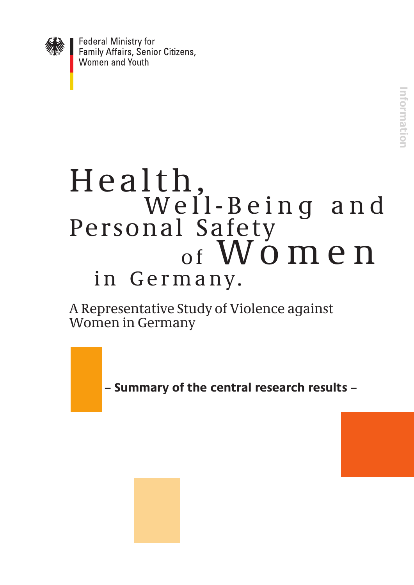

Federal Ministry for<br>Family Affairs, Senior Citizens,<br>Women and Youth

# Health, Well-Being and Personal Safety  $_{\mathrm{of}}$   $_{\mathrm{Wo}}$  m  $_{\mathrm{e}}$  n in Ger many.

A Representative Study of Violence against Women in Germany

**– Summary of the central research results –**

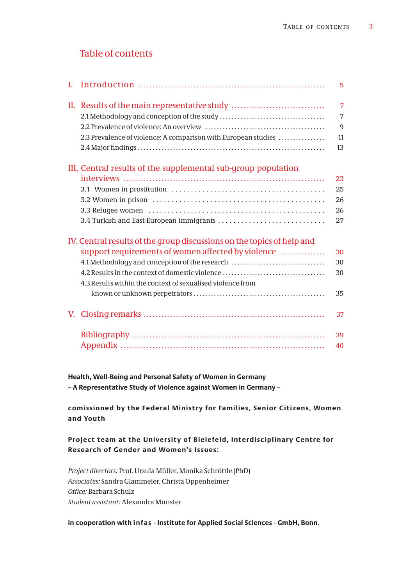# Table of contents

| $\mathbf{L}$ |                                                                        | 5  |
|--------------|------------------------------------------------------------------------|----|
|              | II. Results of the main representative study                           | 7  |
|              |                                                                        | 7  |
|              |                                                                        | 9  |
|              | 2.3 Prevalence of violence: A comparison with European studies         | 11 |
|              |                                                                        | 13 |
|              | III. Central results of the supplemental sub-group population          |    |
|              |                                                                        | 23 |
|              |                                                                        | 25 |
|              |                                                                        | 26 |
|              |                                                                        | 26 |
|              | 3.4 Turkish and East-European immigrants                               | 27 |
|              | IV. Central results of the group discussions on the topics of help and |    |
|              | support requirements of women affected by violence                     | 30 |
|              | 4.1 Methodology and conception of the research                         | 30 |
|              | 4.2 Results in the context of domestic violence                        | 30 |
|              | 4.3 Results within the context of sexualised violence from             |    |
|              |                                                                        | 35 |
|              |                                                                        | 37 |
|              |                                                                        | 39 |
|              |                                                                        | 40 |

**Health, Well-Being and Personal Safety of Women in Germany – A Representative Study of Violence against Women in Germany –**

**comissioned by the Federal Ministry for Families, Senior Citizens, Women and Youth**

**Project team at the University of Bielefeld, Interdisciplinary Centre for Research of Gender and Women's Issues:**

*Project directors:* Prof. Ursula Müller, Monika Schröttle (PhD) *Associates:* Sandra Glammeier, Christa Oppenheimer *Office:* Barbara Schulz *Student assistant:* Alexandra Münster

**in cooperation with infas - Institute for Applied Social Sciences - GmbH, Bonn.**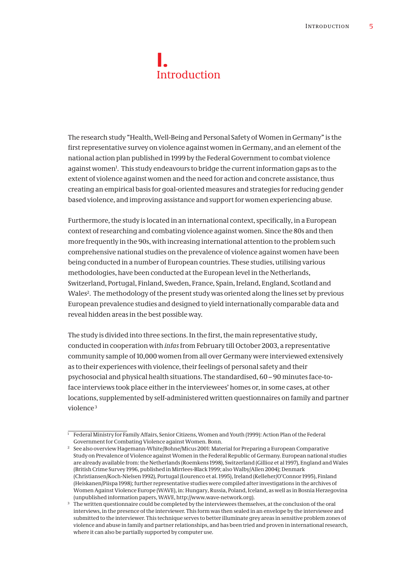# **I.** Introduction

The research study "Health, Well-Being and Personal Safety of Women in Germany" is the first representative survey on violence against women in Germany, and an element of the national action plan published in 1999 by the Federal Government to combat violence against women<sup>1</sup>. This study endeavours to bridge the current information gaps as to the extent of violence against women and the need for action and concrete assistance, thus creating an empirical basis for goal-oriented measures and strategies for reducing gender based violence, and improving assistance and support for women experiencing abuse.

Furthermore, the study is located in an international context, specifically, in a European context of researching and combating violence against women. Since the 80s and then more frequently in the 90s, with increasing international attention to the problem such comprehensive national studies on the prevalence of violence against women have been being conducted in a number of European countries. These studies, utilising various methodologies, have been conducted at the European level in the Netherlands, Switzerland, Portugal, Finland, Sweden, France, Spain, Ireland, England, Scotland and Wales<sup>2</sup>. The methodology of the present study was oriented along the lines set by previous European prevalence studies and designed to yield internationally comparable data and reveal hidden areas in the best possible way.

The study is divided into three sections. In the first, the main representative study, conducted in cooperation with *infas*from February till October 2003, a representative community sample of 10,000 women from all over Germany were interviewed extensively as to their experiences with violence, their feelings of personal safety and their psychosocial and physical health situations. The standardised, 60 – 90 minutes face-toface interviews took place either in the interviewees' homes or, in some cases, at other locations, supplemented by self-administered written questionnaires on family and partner  $vialence<sup>3</sup>$ 

<sup>1</sup> Federal Ministry for Family Affairs, Senior Citizens, Women and Youth (1999): Action Plan of the Federal Government for Combating Violence against Women. Bonn.

<sup>&</sup>lt;sup>2</sup> See also overview Hagemann-White/Bohne/Micus 2001: Material for Preparing a European Comparative Study on Prevalence of Violence against Women in the Federal Republic of Germany. European national studies are already available from: the Netherlands (Roemkens 1998), Switzerland (Gillioz et al 1997), England and Wales (British Crime Survey 1996, published in Mirrlees-Black 1999; also Walby/Allen 2004); Denmark (Christiansen/Koch-Nielsen 1992), Portugal (Lourenco et al. 1995), Ireland (Kelleher/O'Connor 1995), Finland (Heiskanen/Piispa 1998); further representative studies were compiled after investigations in the archives of Women Against Violence Europe (WAVE), in: Hungary, Russia, Poland, Iceland, as well as in Bosnia Herzegovina

 $^3$  The written questionnaire could be completed by the interviewees themselves, at the conclusion of the oral interviews, in the presence of the interviewer. This form was then sealed in an envelope by the interviewee and submitted to the interviewer. This technique serves to better illuminate grey areas in sensitive problem zones of violence and abuse in family and partner relationships, and has been tried and proven in international research, where it can also be partially supported by computer use.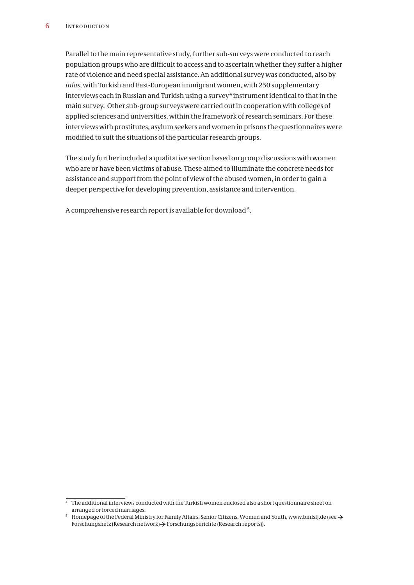Parallel to the main representative study, further sub-surveys were conducted to reach population groups who are difficult to access and to ascertain whether they suffer a higher rate of violence and need special assistance. An additional survey was conducted, also by *infas*, with Turkish and East-European immigrant women, with 250 supplementary interviews each in Russian and Turkish using a survey <sup>4</sup> instrument identical to that in the main survey. Other sub-group surveys were carried out in cooperation with colleges of applied sciences and universities, within the framework of research seminars. For these interviews with prostitutes, asylum seekers and women in prisons the questionnaires were modified to suit the situations of the particular research groups.

The study further included a qualitative section based on group discussions with women who are or have been victims of abuse. These aimed to illuminate the concrete needs for assistance and support from the point of view of the abused women, in order to gain a deeper perspective for developing prevention, assistance and intervention.

A comprehensive research report is available for download 5.

<sup>4</sup> The additional interviews conducted with the Turkish women enclosed also a short questionnaire sheet on arranged or forced marriages.

<sup>5</sup> Homepage of the Federal Ministry for Family Affairs, Senior Citizens, Women and Youth, www.bmfsfj.de (see  $\rightarrow$ Forschungsnetz (Research network)→ Forschungsberichte (Research reports)).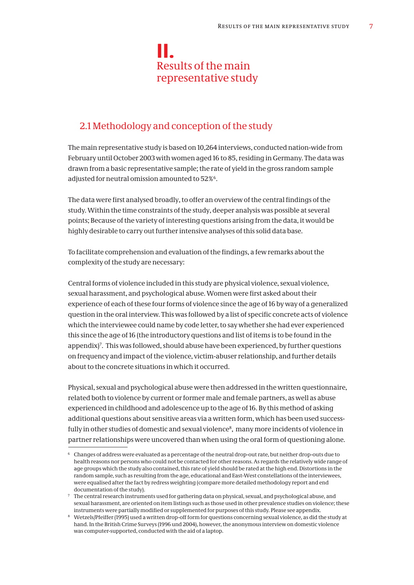# **II.**  Results of the main representative study

# 2.1 Methodology and conception of the study

The main representative study is based on 10,264 interviews, conducted nation-wide from February until October 2003 with women aged 16 to 85, residing in Germany. The data was drawn from a basic representative sample; the rate of yield in the gross random sample adjusted for neutral omission amounted to 52%°.

The data were first analysed broadly, to offer an overview of the central findings of the study. Within the time constraints of the study, deeper analysis was possible at several points; Because of the variety of interesting questions arising from the data, it would be highly desirable to carry out further intensive analyses of this solid data base.

To facilitate comprehension and evaluation of the findings, a few remarks about the complexity of the study are necessary:

Central forms of violence included in this study are physical violence, sexual violence, sexual harassment, and psychological abuse. Women were first asked about their experience of each of these four forms of violence since the age of 16 by way of a generalized question in the oral interview. This was followed by a list of specific concrete acts of violence which the interviewee could name by code letter, to say whether she had ever experienced this since the age of 16 (the introductory questions and list of items is to be found in the appendix)<sup>7</sup>. This was followed, should abuse have been experienced, by further questions on frequency and impact of the violence, victim-abuser relationship, and further details about to the concrete situations in which it occurred.

Physical, sexual and psychological abuse were then addressed in the written questionnaire, related both to violence by current or former male and female partners, as well as abuse experienced in childhood and adolescence up to the age of 16. By this method of asking additional questions about sensitive areas via a written form, which has been used successfully in other studies of domestic and sexual violence<sup>8</sup>, many more incidents of violence in partner relationships were uncovered than when using the oral form of questioning alone.

<sup>6</sup> Changes of address were evaluated as a percentage of the neutral drop-out rate, but neither drop-outs due to health reasons nor persons who could not be contacted for other reasons. As regards the relatively wide range of age groups which the study also contained, this rate of yield should be rated at the high end. Distortions in the random sample, such as resulting from the age, educational and East-West constellations of the interviewees, were equalised after the fact by redress weighting (compare more detailed methodology report and end documentation of the study).

<sup>7</sup> The central research instruments used for gathering data on physical, sexual, and psychological abuse, and sexual harassment, are oriented on item listings such as those used in other prevalence studies on violence; these instruments were partially modified or supplemented for purposes of this study. Please see appendix.

<sup>8</sup> Wetzels/Pfeiffer (1995) used a written drop-off form for questions concerning sexual violence, as did the study at hand. In the British Crime Surveys (1996 und 2004), however, the anonymous interview on domestic violence was computer-supported, conducted with the aid of a laptop.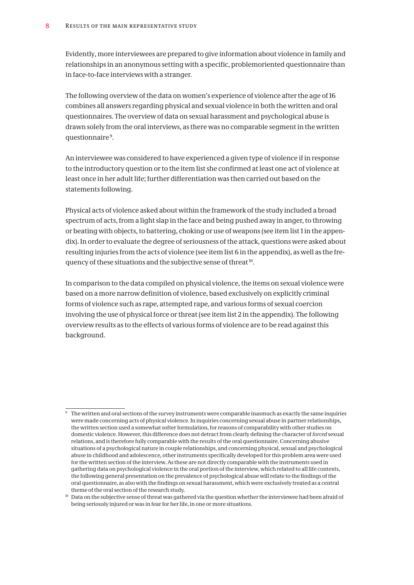Evidently, more interviewees are prepared to give information about violence in family and relationships in an anonymous setting with a specific, problemoriented questionnaire than in face-to-face interviews with a stranger.

The following overview of the data on women's experience of violence after the age of 16 combines all answers regarding physical and sexual violence in both the written and oral questionnaires. The overview of data on sexual harassment and psychological abuse is drawn solely from the oral interviews, as there was no comparable segment in the written questionnaire 9.

An interviewee was considered to have experienced a given type of violence if in response to the introductory question or to the item list she confirmed at least one act of violence at least once in her adult life; further differentiation was then carried out based on the statements following.

Physical acts of violence asked about within the framework of the study included a broad spectrum of acts, from a light slap in the face and being pushed away in anger, to throwing or beating with objects, to battering, choking or use of weapons (see item list 1 in the appendix). In order to evaluate the degree of seriousness of the attack, questions were asked about resulting injuries from the acts of violence (see item list 6 in the appendix), as well as the frequency of these situations and the subjective sense of threat<sup>10</sup>.

In comparison to the data compiled on physical violence, the items on sexual violence were based on a more narrow definition of violence, based exclusively on explicitly criminal forms of violence such as rape, attempted rape, and various forms of sexual coercion involving the use of physical force or threat (see item list 2 in the appendix). The following overview results as to the effects of various forms of violence are to be read against this background.

The written and oral sections of the survey instruments were comparable inasmuch as exactly the same inquiries were made concerning acts of physical violence. In inquiries concerning sexual abuse in partner relationships, the written section used a somewhat softer formulation, for reasons of comparability with other studies on domestic violence. However, this difference does not detract from clearly defining the character of *forced* sexual relations, and is therefore fully comparable with the results of the oral questionnaire. Concerning abusive situations of a psychological nature in couple relationships, and concerning physical, sexual and psychological abuse in childhood and adolescence, other instruments specifically developed for this problem area were used for the written section of the interview. As these are not directly comparable with the instruments used in gathering data on psychological violence in the oral portion of the interview, which related to all life contexts, the following general presentation on the prevalence of psychological abuse will relate to the findings of the oral questionnaire, as also with the findings on sexual harassment, which were exclusively treated as a central theme of the oral section of the research study.

<sup>&</sup>lt;sup>10</sup> Data on the subjective sense of threat was gathered via the question whether the interviewee had been afraid of being seriously injured or was in fear for her life, in one or more situations.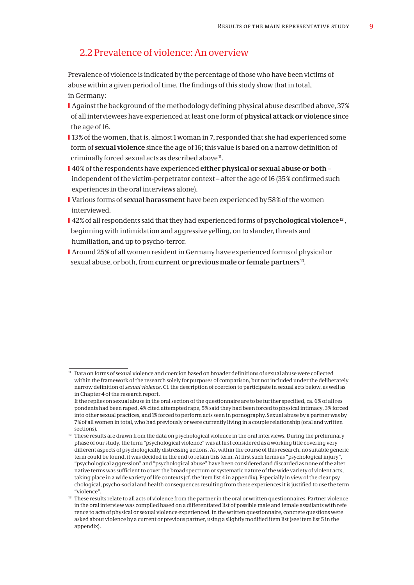# 2.2 Prevalence of violence: An overview

Prevalence of violence is indicated by the percentage of those who have been victims of abuse within a given period of time. The findings of this study show that in total, in Germany:

- **I** Against the background of the methodology defining physical abuse described above, 37% of all interviewees have experienced at least one form of **physical attack or violence** since the age of 16.
- **l** 13% of the women, that is, almost 1 woman in 7, responded that she had experienced some form of **sexual violence** since the age of 16; this value is based on a narrow definition of criminally forced sexual acts as described above<sup>11</sup>.
- **❙** 40% of the respondents have experienced **either physical or sexual abuse or both** independent of the victim-perpetrator context – after the age of 16 (35 % confirmed such experiences in the oral interviews alone).
- **l** Various forms of **sexual harassment** have been experienced by 58% of the women interviewed.
- **Ⅰ** 42% of all respondents said that they had experienced forms of **psychological violence**<sup>12</sup>, beginning with intimidation and aggressive yelling, on to slander, threats and humiliation, and up to psycho-terror.
- **I** Around 25% of all women resident in Germany have experienced forms of physical or sexual abuse, or both, from **current or previous male or female partners**13.

<sup>11</sup> Data on forms of sexual violence and coercion based on broader definitions of sexual abuse were collected within the framework of the research solely for purposes of comparison, but not included under the deliberately narrow definition of *sexual violence*. Cf. the description of coercion to participate in sexual acts below, as well as in Chapter 4 of the research report.

If the replies on sexual abuse in the oral section of the questionnaire are to be further specified, ca. 6 % of all res pondents had been raped, 4 % cited attempted rape, 5 % said they had been forced to physical intimacy, 3 % forced into other sexual practices, and 1% forced to perform acts seen in pornography. Sexual abuse by a partner was by 7% of all women in total, who had previously or were currently living in a couple relationship (oral and written sections).

 $12$  These results are drawn from the data on psychological violence in the oral interviews. During the preliminary phase of our study, the term "psychological violence" was at first considered as a working title covering very different aspects of psychologically distressing actions. As, within the course of this research, no suitable generic term could be found, it was decided in the end to retain this term. At first such terms as "psychological injury", "psychological aggression" and "psychological abuse" have been considered and discarded as none of the alter native terms was sufficient to cover the broad spectrum or systematic nature of the wide variety of violent acts, taking place in a wide variety of life contexts (cf. the item list 4 in appendix). Especially in view of the clear psy chological, psycho-social and health consequences resulting from these experiences it is justified to use the term "violence".<br> $^{13}$  These results relate to all acts of violence from the partner in the oral or written questionnaires. Partner violence

in the oral interview was compiled based on a differentiated list of possible male and female assailants with refe rence to acts of physical or sexual violence experienced. In the written questionnaire, concrete questions were asked about violence by a current or previous partner, using a slightly modified item list (see item list 5 in the appendix).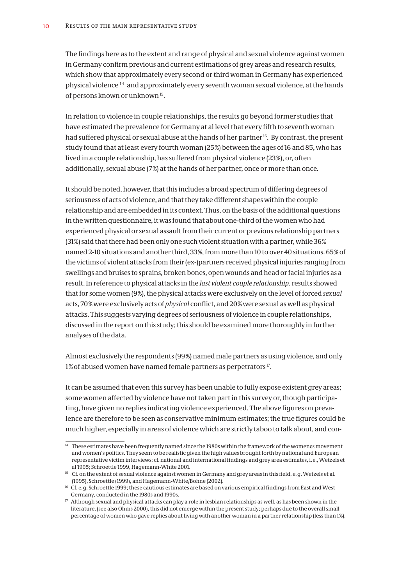The findings here as to the extent and range of physical and sexual violence against women in Germany confirm previous and current estimations of grey areas and research results, which show that approximately every second or third woman in Germany has experienced physical violence <sup>14</sup> and approximately every seventh woman sexual violence, at the hands of persons known or unknown<sup>15</sup>.

In relation to violence in couple relationships, the results go beyond former studies that have estimated the prevalence for Germany at al level that every fifth to seventh woman had suffered physical or sexual abuse at the hands of her partner<sup>16</sup>. By contrast, the present study found that at least every fourth woman (25 %) between the ages of 16 and 85, who has lived in a couple relationship, has suffered from physical violence (23 %), or, often additionally, sexual abuse (7%) at the hands of her partner, once or more than once.

It should be noted, however, that this includes a broad spectrum of differing degrees of seriousness of acts of violence, and that they take different shapes within the couple relationship and are embedded in its context. Thus, on the basis of the additional questions in the written questionnaire, it was found that about one-third of the women who had experienced physical or sexual assault from their current or previous relationship partners (31 %) said that there had been only one such violent situation with a partner, while 36 % named 2-10 situations and another third, 33 %, from more than 10 to over 40 situations. 65 % of the victims of violent attacks from their (ex-)partners received physical injuries ranging from swellings and bruises to sprains, broken bones, open wounds and head or facial injuries as a result. In reference to physical attacks in the *last violent couple relationship*, results showed that for some women (9 %), the physical attacks were exclusively on the level of forced *sexual* acts, 70 % were exclusively acts of *physical* conflict, and 20 % were sexual as well as physical attacks. This suggests varying degrees of seriousness of violence in couple relationships, discussed in the report on this study; this should be examined more thoroughly in further analyses of the data.

Almost exclusively the respondents (99 %) named male partners as using violence, and only 1% of abused women have named female partners as perpetrators<sup>17</sup>.

It can be assumed that even this survey has been unable to fully expose existent grey areas; some women affected by violence have not taken part in this survey or, though participating, have given no replies indicating violence experienced. The above figures on prevalence are therefore to be seen as conservative minimum estimates; the true figures could be much higher, especially in areas of violence which are strictly taboo to talk about, and con-

<sup>&</sup>lt;sup>14</sup> These estimates have been frequently named since the 1980s within the framework of the women¢s movement and women's politics. They seem to be realistic given the high values brought forth by national and European representative victim interviews; cf. national and international findings and grey area estimates, i. e., Wetzels et al 1995; Schroettle 1999, Hagemann-White 2001.

<sup>&</sup>lt;sup>15</sup> Cf. on the extent of sexual violence against women in Germany and grey areas in this field, e.g. Wetzels et al. (1995), Schroettle (1999), and Hagemann-White/Bohne (2002).

<sup>16</sup> Cf. e. g. Schroettle 1999; these cautious estimates are based on various empirical findings from East and West Germany, conducted in the 1980s and 1990s.

 $17$  Although sexual and physical attacks can play a role in lesbian relationships as well, as has been shown in the literature, (see also Ohms 2000), this did not emerge within the presentstudy; perhaps due to the overall small percentage of women who gave replies about living with another woman in a partner relationship (less than 1%).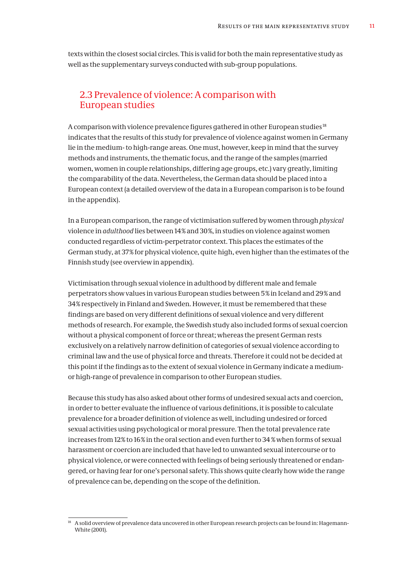11

texts within the closest social circles. This is valid for both the main representative study as well as the supplementary surveys conducted with sub-group populations.

# 2.3 Prevalence of violence: A comparison with European studies

A comparison with violence prevalence figures gathered in other European studies<sup>18</sup> indicates that the results of this study for prevalence of violence against women in Germany lie in the medium- to high-range areas. One must, however, keep in mind that the survey methods and instruments, the thematic focus, and the range of the samples (married women, women in couple relationships, differing age groups, etc.) vary greatly, limiting the comparability of the data. Nevertheless, the German data should be placed into a European context (a detailed overview of the data in a European comparison is to be found in the appendix).

In a European comparison, the range of victimisation suffered by women through *physical* violence in *adulthood* lies between 14 % and 30 %, in studies on violence against women conducted regardless of victim-perpetrator context. This places the estimates of the German study, at 37 % for physical violence, quite high, even higher than the estimates of the Finnish study (see overview in appendix).

Victimisation through sexual violence in adulthood by different male and female perpetrators show values in various European studies between 5 % in Iceland and 29 % and 34 % respectively in Finland and Sweden. However, it must be remembered that these findings are based on very different definitions of sexual violence and very different methods of research. For example, the Swedish study also included forms of sexual coercion without a physical component of force or threat; whereas the present German rests exclusively on a relatively narrow definition of categories of sexual violence according to criminal law and the use of physical force and threats. Therefore it could not be decided at this point if the findings as to the extent of sexual violence in Germany indicate a mediumor high-range of prevalence in comparison to other European studies.

Because this study has also asked about other forms of undesired sexual acts and coercion, in order to better evaluate the influence of various definitions, it is possible to calculate prevalence for a broader definition of violence as well, including undesired or forced sexual activities using psychological or moral pressure. Then the total prevalence rate increases from 12 % to 16 % in the oral section and even further to 34 % when forms of sexual harassment or coercion are included that have led to unwanted sexual intercourse or to physical violence, or were connected with feelings of being seriously threatened or endangered, or having fear for one's personal safety. This shows quite clearly how wide the range of prevalence can be, depending on the scope of the definition.

<sup>&</sup>lt;sup>18</sup> A solid overview of prevalence data uncovered in other European research projects can be found in: Hagemann-White (2001).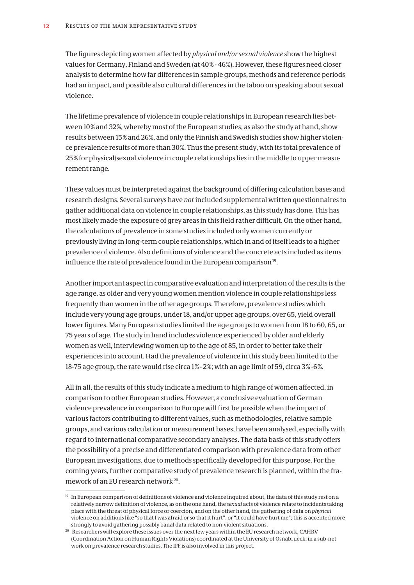The figures depicting women affected by *physical and/or sexual violence* show the highest values for Germany, Finland and Sweden (at 40 % - 46 %). However, these figures need closer analysis to determine how far differences in sample groups, methods and reference periods had an impact, and possible also cultural differences in the taboo on speaking about sexual violence.

The lifetime prevalence of violence in couple relationships in European research lies between 10 % and 32 %, whereby most of the European studies, as also the study at hand, show results between 15 % and 26 %, and only the Finnish and Swedish studies show higher violence prevalence results of more than 30 %. Thus the present study, with its total prevalence of 25 % for physical/sexual violence in couple relationships lies in the middle to upper measurement range.

These values must be interpreted against the background of differing calculation bases and research designs. Several surveys have *not*included supplemental written questionnaires to gather additional data on violence in couple relationships, as this study has done. This has most likely made the exposure of grey areas in this field rather difficult. On the other hand, the calculations of prevalence in some studies included only women currently or previously living in long-term couple relationships, which in and of itself leads to a higher prevalence of violence. Also definitions of violence and the concrete acts included as items influence the rate of prevalence found in the European comparison<sup>19</sup>.

Another important aspect in comparative evaluation and interpretation of the results is the age range, as older and very young women mention violence in couple relationships less frequently than women in the other age groups. Therefore, prevalence studies which include very young age groups, under 18, and/or upper age groups, over 65, yield overall lower figures. Many European studies limited the age groups to women from 18 to 60, 65, or 75 years of age. The study in hand includes violence experienced by older and elderly women as well, interviewing women up to the age of 85, in order to better take their experiences into account. Had the prevalence of violence in this study been limited to the 18-75 age group, the rate would rise circa  $1\%$  -  $2\%$ ; with an age limit of 59, circa  $3\%$  -6%.

All in all, the results of this study indicate a medium to high range of women affected, in comparison to other European studies. However, a conclusive evaluation of German violence prevalence in comparison to Europe will first be possible when the impact of various factors contributing to different values, such as methodologies, relative sample groups, and various calculation or measurement bases, have been analysed, especially with regard to international comparative secondary analyses. The data basis of this study offers the possibility of a precise and differentiated comparison with prevalence data from other European investigations, due to methods specifically developed for this purpose. For the coming years, further comparative study of prevalence research is planned, within the framework of an EU research network<sup>20</sup>.

<sup>&</sup>lt;sup>19</sup> In European comparison of definitions of violence and violence inquired about, the data of this study rest on a relatively narrow definition of violence, as on the one hand, the *sexual* acts of violence relate to incidents taking place with the threat of physical force or coercion, and on the other hand, the gathering of data on *physical* violence on additions like "so that I was afraid or so that it hurt", or "it could have hurt me"; this is accented more strongly to avoid gathering possibly banal data related to non-violent situations.

<sup>&</sup>lt;sup>20</sup> Researchers will explore these issues over the next few years within the EU research network, CAHRV (Coordination Action on Human Rights Violations) coordinated at the University of Osnabrueck, in a sub-net work on prevalence research studies. The IFF is also involved in this project.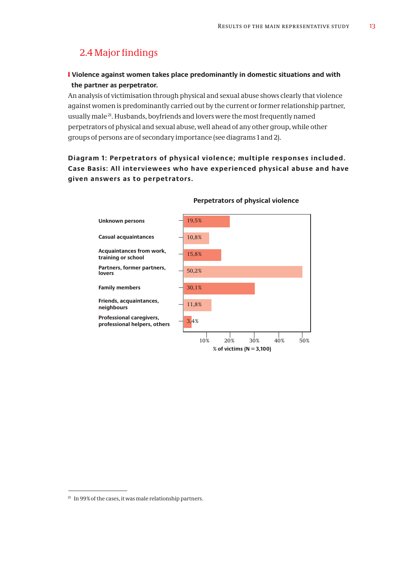# 2.4 Major findings

#### **❙ Violence against women takes place predominantly in domestic situations and with the partner as perpetrator.**

An analysis of victimisation through physical and sexual abuse shows clearly that violence against women is predominantly carried out by the current or former relationship partner, usually male<sup>21</sup>. Husbands, boyfriends and lovers were the most frequently named perpetrators of physical and sexual abuse, well ahead of any other group, while other groups of persons are of secondary importance (see diagrams 1 and 2).

# **Diagram 1: Perpetrators of physical violence; multiple responses included. Case Basis: All interviewees who have experienced physical abuse and have given answers as to perpetrators.**



#### **Perpetrators of physical violence**

 $21$  In 99% of the cases, it was male relationship partners.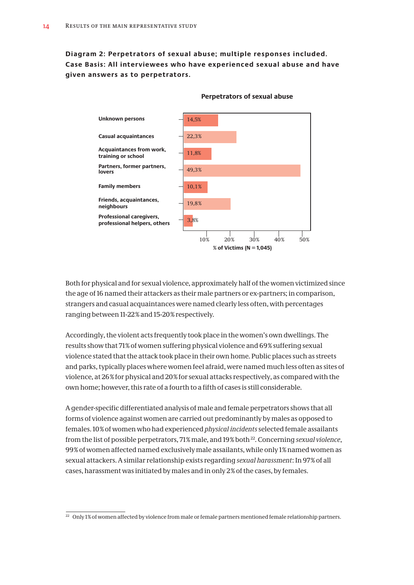# **Diagram 2: Perpetrators of sexual abuse; multiple responses included. Case Basis: All interviewees who have experienced sexual abuse and have given answers as to perpetrators.**



**Perpetrators of sexual abuse**

Both for physical and for sexual violence, approximately half of the women victimized since the age of 16 named their attackers as their male partners or ex-partners; in comparison, strangers and casual acquaintances were named clearly less often, with percentages ranging between 11-22 % and 15-20 % respectively.

Accordingly, the violent acts frequently took place in the women's own dwellings. The results show that 71 % of women suffering physical violence and 69 % suffering sexual violence stated that the attack took place in their own home. Public places such as streets and parks, typically places where women feel afraid, were named much less often as sites of violence, at 26 % for physical and 20 % for sexual attacks respectively, as compared with the own home; however, this rate of a fourth to a fifth of cases is still considerable.

A gender-specific differentiated analysis of male and female perpetrators shows that all forms of violence against women are carried out predominantly by males as opposed to females. 10 % of women who had experienced *physical incidents*selected female assailants from the list of possible perpetrators, 71 % male, and 19 % both22. Concerning *sexual violence*, 99% of women affected named exclusively male assailants, while only 1% named women as sexual attackers. A similar relationship exists regarding *sexual harassment*: In 97 % of all cases, harassment was initiated by males and in only 2 % of the cases, by females.

<sup>&</sup>lt;sup>22</sup> Only 1% of women affected by violence from male or female partners mentioned female relationship partners.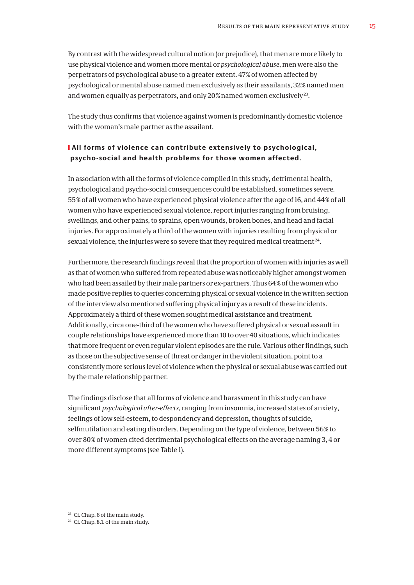By contrast with the widespread cultural notion (or prejudice), that men are more likely to use physical violence and women more mental or *psychological abuse*, men were also the perpetrators of psychological abuse to a greater extent. 47 % of women affected by psychological or mental abuse named men exclusively as their assailants, 32 % named men and women equally as perpetrators, and only  $20\%$  named women exclusively<sup>23</sup>.

The study thus confirms that violence against women is predominantly domestic violence with the woman's male partner as the assailant.

#### **❙ All forms of violence can contribute extensively to psychological, psycho-social and health problems for those women affected.**

In association with all the forms of violence compiled in this study, detrimental health, psychological and psycho-social consequences could be established, sometimes severe. 55% of all women who have experienced physical violence after the age of 16, and 44% of all women who have experienced sexual violence, report injuries ranging from bruising, swellings, and other pains, to sprains, open wounds, broken bones, and head and facial injuries. For approximately a third of the women with injuries resulting from physical or sexual violence, the injuries were so severe that they required medical treatment $^{24}$ .

Furthermore, the research findings reveal that the proportion of women with injuries as well as that of women who suffered from repeated abuse was noticeably higher amongst women who had been assailed by their male partners or ex-partners. Thus 64 % of the women who made positive replies to queries concerning physical or sexual violence in the written section of the interview also mentioned suffering physical injury as a result of these incidents. Approximately a third of these women sought medical assistance and treatment. Additionally, circa one-third of the women who have suffered physical or sexual assault in couple relationships have experienced more than 10 to over 40 situations, which indicates that more frequent or even regular violent episodes are the rule. Various other findings, such as those on the subjective sense of threat or danger in the violent situation, point to a consistently more serious level of violence when the physical or sexual abuse was carried out by the male relationship partner.

The findings disclose that all forms of violence and harassment in this study can have significant *psychological after-effects*, ranging from insomnia, increased states of anxiety, feelings of low self-esteem, to despondency and depression, thoughts of suicide, selfmutilation and eating disorders. Depending on the type of violence, between 56 % to over 80 % of women cited detrimental psychological effects on the average naming 3, 4 or more different symptoms (see Table 1).

<sup>&</sup>lt;sup>23</sup> Cf. Chap. 6 of the main study.

<sup>&</sup>lt;sup>24</sup> Cf. Chap. 8.1. of the main study.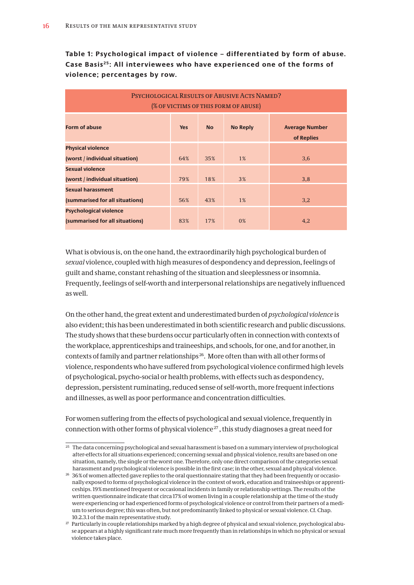**Table 1: Psychological impact of violence – differentiated by form of abuse.** Case Basis<sup>25</sup>: All interviewees who have experienced one of the forms of **violence; percentages by row.**

| PSYCHOLOGICAL RESULTS OF ABUSIVE ACTS NAMED?<br>(% OF VICTIMS OF THIS FORM OF ABUSE) |            |           |                 |                                     |  |  |  |
|--------------------------------------------------------------------------------------|------------|-----------|-----------------|-------------------------------------|--|--|--|
| Form of abuse                                                                        | <b>Yes</b> | <b>No</b> | <b>No Reply</b> | <b>Average Number</b><br>of Replies |  |  |  |
| <b>Physical violence</b>                                                             |            |           |                 |                                     |  |  |  |
| (worst / individual situation)                                                       | 64%        | 35%       | 1%              | 3,6                                 |  |  |  |
| <b>Sexual violence</b>                                                               |            |           |                 |                                     |  |  |  |
| (worst / individual situation)                                                       | 79%        | 18%       | 3%              | 3,8                                 |  |  |  |
| <b>Sexual harassment</b>                                                             |            |           |                 |                                     |  |  |  |
| (summarised for all situations)                                                      | 56%        | 43%       | 1%              | 3,2                                 |  |  |  |
| <b>Psychological violence</b>                                                        |            |           |                 |                                     |  |  |  |
| (summarised for all situations)                                                      | 83%        | 17%       | $0\%$           | 4,2                                 |  |  |  |

What is obvious is, on the one hand, the extraordinarily high psychological burden of *sexual* violence, coupled with high measures of despondency and depression, feelings of guilt and shame, constant rehashing of the situation and sleeplessness or insomnia. Frequently, feelings of self-worth and interpersonal relationships are negatively influenced as well.

On the other hand, the great extent and underestimated burden of *psychological violence* is also evident; this has been underestimated in both scientific research and public discussions. The study shows that these burdens occur particularly often in connection with contexts of the workplace, apprenticeships and traineeships, and schools, for one, and for another, in contexts of family and partner relationships 26. More often than with all other forms of violence, respondents who have suffered from psychological violence confirmed high levels of psychological, psycho-social or health problems, with effects such as despondency, depression, persistent ruminating, reduced sense of self-worth, more frequent infections and illnesses, as well as poor performance and concentration difficulties.

For women suffering from the effects of psychological and sexual violence, frequently in connection with other forms of physical violence<sup>27</sup>, this study diagnoses a great need for

<sup>&</sup>lt;sup>25</sup> The data concerning psychological and sexual harassment is based on a summary interview of psychological after-effects for all situations experienced; concerning sexual and physical violence, results are based on one situation, namely, the single or the worst one. Therefore, only one direct comparison of the categories sexual harassment and psychological violence is possible in the first case; in the other, sexual and physical violence.

<sup>&</sup>lt;sup>26</sup> 36% of women affected gave replies to the oral questionnaire stating that they had been frequently or occasionally exposed to forms of psychological violence in the context of work, education and traineeships or apprenticeships. 19 % mentioned frequent or occasional incidents in family or relationship settings. The results of the written questionnaire indicate that circa 17 % of women living in a couple relationship at the time of the study were experiencing or had experienced forms of psychological violence or control from their partners of a medium to serious degree; this was often, but not predominantly linked to physical or sexual violence. Cf. Chap.

<sup>10.2.3.1</sup> of the main representative study.<br><sup>27</sup> Particularly in couple relationships marked by a high degree of physical and sexual violence, psychological abuse appears at a highly significant rate much more frequently than in relationships in which no physical or sexual violence takes place.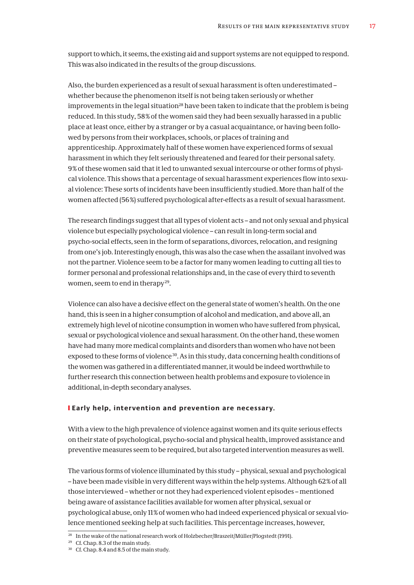support to which, it seems, the existing aid and support systems are not equipped to respond. This was also indicated in the results of the group discussions.

Also, the burden experienced as a result of sexual harassment is often underestimated – whether because the phenomenon itself is not being taken seriously or whether improvements in the legal situation<sup>28</sup> have been taken to indicate that the problem is being reduced. In this study, 58 % of the women said they had been sexually harassed in a public place at least once, either by a stranger or by a casual acquaintance, or having been followed by persons from their workplaces, schools, or places of training and apprenticeship. Approximately half of these women have experienced forms of sexual harassment in which they felt seriously threatened and feared for their personal safety. 9% of these women said that it led to unwanted sexual intercourse or other forms of physical violence. This shows that a percentage of sexual harassment experiences flow into sexual violence: These sorts of incidents have been insufficiently studied. More than half of the women affected (56 %) suffered psychological after-effects as a result of sexual harassment.

The research findings suggest that all types of violent acts – and not only sexual and physical violence but especially psychological violence – can result in long-term social and psycho-social effects, seen in the form of separations, divorces, relocation, and resigning from one's job. Interestingly enough, this was also the case when the assailant involved was not the partner. Violence seem to be a factor for many women leading to cutting all ties to former personal and professional relationships and, in the case of every third to seventh women, seem to end in therapy<sup>29</sup>.

Violence can also have a decisive effect on the general state of women's health. On the one hand, this is seen in a higher consumption of alcohol and medication, and above all, an extremely high level of nicotine consumption in women who have suffered from physical, sexual or psychological violence and sexual harassment. On the other hand, these women have had many more medical complaints and disorders than women who have not been exposed to these forms of violence  $30$ . As in this study, data concerning health conditions of the women was gathered in a differentiated manner, it would be indeed worthwhile to further research this connection between health problems and exposure to violence in additional, in-depth secondary analyses.

#### **❙ Early help, intervention and prevention are necessary.**

With a view to the high prevalence of violence against women and its quite serious effects on their state of psychological, psycho-social and physical health, improved assistance and preventive measures seem to be required, but also targeted intervention measures as well.

The various forms of violence illuminated by this study – physical, sexual and psychological – have been made visible in very different ways within the help systems. Although 62 % of all those interviewed – whether or not they had experienced violent episodes – mentioned being aware of assistance facilities available for women after physical, sexual or psychological abuse, only 11 % of women who had indeed experienced physical or sexual violence mentioned seeking help at such facilities. This percentage increases, however,

 $\overline{28}$  In the wake of the national research work of Holzbecher/Braszeit/Müller/Plogstedt (1991).

<sup>29</sup> Cf. Chap. 8.3 of the main study.

<sup>&</sup>lt;sup>30</sup> Cf. Chap. 8.4 and 8.5 of the main study.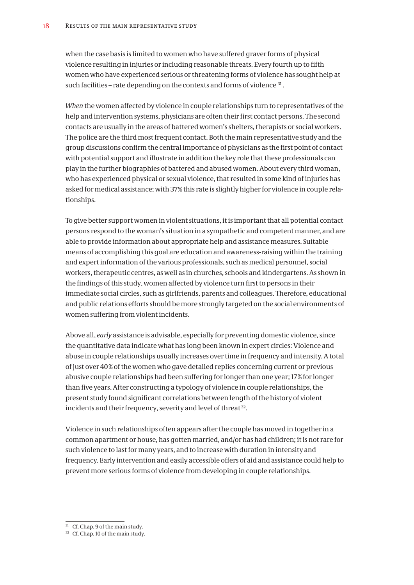when the case basis is limited to women who have suffered graver forms of physical violence resulting in injuries or including reasonable threats. Every fourth up to fifth women who have experienced serious or threatening forms of violence has sought help at such facilities – rate depending on the contexts and forms of violence  $31$ .

*When* the women affected by violence in couple relationships turn to representatives of the help and intervention systems, physicians are often their first contact persons. The second contacts are usually in the areas of battered women's shelters, therapists or social workers. The police are the third most frequent contact. Both the main representative study and the group discussions confirm the central importance of physicians as the first point of contact with potential support and illustrate in addition the key role that these professionals can play in the further biographies of battered and abused women. About every third woman, who has experienced physical or sexual violence, that resulted in some kind of injuries has asked for medical assistance; with 37% this rate is slightly higher for violence in couple relationships.

To give better support women in violent situations, it is important that all potential contact persons respond to the woman's situation in a sympathetic and competent manner, and are able to provide information about appropriate help and assistance measures. Suitable means of accomplishing this goal are education and awareness-raising within the training and expert information of the various professionals, such as medical personnel, social workers, therapeutic centres, as well as in churches, schools and kindergartens. As shown in the findings of this study, women affected by violence turn first to persons in their immediate social circles, such as girlfriends, parents and colleagues. Therefore, educational and public relations efforts should be more strongly targeted on the social environments of women suffering from violent incidents.

Above all, *early* assistance is advisable, especially for preventing domestic violence, since the quantitative data indicate what has long been known in expert circles: Violence and abuse in couple relationships usually increases over time in frequency and intensity. A total of just over 40 % of the women who gave detailed replies concerning current or previous abusive couple relationships had been suffering for longer than one year; 17 % for longer than five years. After constructing a typology of violence in couple relationships, the present study found significant correlations between length of the history of violent incidents and their frequency, severity and level of threat<sup>32</sup>.

Violence in such relationships often appears after the couple has moved in together in a common apartment or house, has gotten married, and/or has had children; it is not rare for such violence to last for many years, and to increase with duration in intensity and frequency. Early intervention and easily accessible offers of aid and assistance could help to prevent more serious forms of violence from developing in couple relationships.

<sup>&</sup>lt;sup>31</sup> Cf. Chap. 9 of the main study.

<sup>32</sup> Cf. Chap.10 of the main study.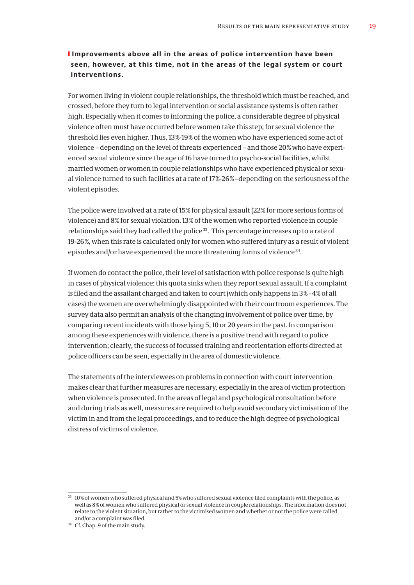### **❙ Improvements above all in the areas of police intervention have been seen, however, at this time, not in the areas of the legal system or court interventions.**

For women living in violent couple relationships, the threshold which must be reached, and crossed, before they turn to legal intervention or social assistance systems is often rather high. Especially when it comes to informing the police, a considerable degree of physical violence often must have occurred before women take this step; for sexual violence the threshold lies even higher. Thus, 13 %-19 % of the women who have experienced some act of violence – depending on the level of threats experienced – and those 20 % who have experienced sexual violence since the age of 16 have turned to psycho-social facilities, whilst married women or women in couple relationships who have experienced physical or sexual violence turned to such facilities at a rate of 17 %-26 % –depending on the seriousness of the violent episodes.

The police were involved at a rate of 15 % for physical assault (22 % for more serious forms of violence) and 8 % for sexual violation. 13 % of the women who reported violence in couple relationships said they had called the police 33. This percentage increases up to a rate of 19-26 %, when this rate is calculated only for women who suffered injury as a result of violent episodes and/or have experienced the more threatening forms of violence<sup>34</sup>.

If women do contact the police, their level of satisfaction with police response is quite high in cases of physical violence; this quota sinks when they report sexual assault. If a complaint is filed and the assailant charged and taken to court (which only happens in 3 % - 4 % of all cases) the women are overwhelmingly disappointed with their courtroom experiences. The survey data also permit an analysis of the changing involvement of police over time, by comparing recent incidents with those lying 5, 10 or 20 years in the past. In comparison among these experiences with violence, there is a positive trend with regard to police intervention; clearly, the success of focussed training and reorientation efforts directed at police officers can be seen, especially in the area of domestic violence.

The statements of the interviewees on problems in connection with court intervention makes clear that further measures are necessary, especially in the area of victim protection when violence is prosecuted. In the areas of legal and psychological consultation before and during trials as well, measures are required to help avoid secondary victimisation of the victim in and from the legal proceedings, and to reduce the high degree of psychological distress of victims of violence.

<sup>33</sup> 10 % of women who suffered physical and 5% who suffered sexual violence filed complaints with the police, as well as 8 % of women who suffered physical or sexual violence in couple relationships. The information does not relate to the violent situation, but rather to the victimised women and whether or not the police were called and/or a complaint was filed. 34 Cf. Chap. 9 of the main study.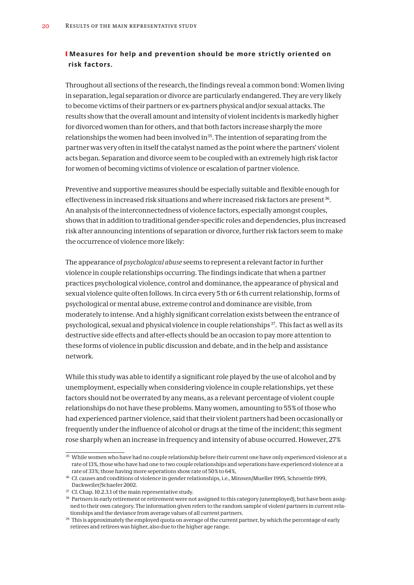#### **❙ Measures for help and prevention should be more strictly oriented on risk factors.**

Throughout all sections of the research, the findings reveal a common bond: Women living in separation, legal separation or divorce are particularly endangered. They are very likely to become victims of their partners or ex-partners physical and/or sexual attacks. The results show that the overall amount and intensity of violent incidents is markedly higher for divorced women than for others, and that both factors increase sharply the more relationships the women had been involved in $35$ . The intention of separating from the partner was very often in itself the catalyst named as the point where the partners' violent acts began. Separation and divorce seem to be coupled with an extremely high risk factor for women of becoming victims of violence or escalation of partner violence.

Preventive and supportive measures should be especially suitable and flexible enough for effectiveness in increased risk situations and where increased risk factors are present<sup>36</sup>. An analysis of the interconnectedness of violence factors, especially amongst couples, shows that in addition to traditional gender-specific roles and dependencies, plus increased risk after announcing intentions of separation or divorce, further risk factors seem to make the occurrence of violence more likely:

The appearance of *psychological abuse* seems to represent a relevant factor in further violence in couple relationships occurring. The findings indicate that when a partner practices psychological violence, control and dominance, the appearance of physical and sexual violence quite often follows. In circa every 5 th or 6 th current relationship, forms of psychological or mental abuse, extreme control and dominance are visible, from moderately to intense. And a highly significant correlation exists between the entrance of psychological, sexual and physical violence in couple relationships 37. This fact as well as its destructive side effects and after-effects should be an occasion to pay more attention to these forms of violence in public discussion and debate, and in the help and assistance network.

While this study was able to identify a significant role played by the use of alcohol and by unemployment, especially when considering violence in couple relationships, yet these factors should not be overrated by any means, as a relevant percentage of violent couple relationships do not have these problems. Many women, amounting to 55 % of those who had experienced partner violence, said that their violent partners had been occasionally or frequently under the influence of alcohol or drugs at the time of the incident; this segment rose sharply when an increase in frequency and intensity of abuse occurred. However, 27 %

 $^{\rm 35}$  While women who have had no couple relationship before their current one have only experienced violence at a rate of 13 %, those who have had one to two couple relationships and seperations have experienced violence at a rate of 33%; those having more seperations show rate of 50% to 64%,

<sup>36</sup> Cf. causes and conditions of violence in gender relationships, i.e., Minssen/Mueller 1995, Schroettle 1999, Dackweiler/Schaefer 2002.

<sup>37</sup> Cf. Chap. 10.2.3.1 of the main representative study.

<sup>38</sup> Partners in early retirement or retirement were not assigned to this category (unemployed), but have been assigned to their own category. The information given refers to the random sample of violent partners in current relationships and the deviance from average values of all current partners.

<sup>&</sup>lt;sup>39</sup> This is approximately the employed quota on average of the current partner, by which the percentage of early retirees and retirees was higher, also due to the higher age range.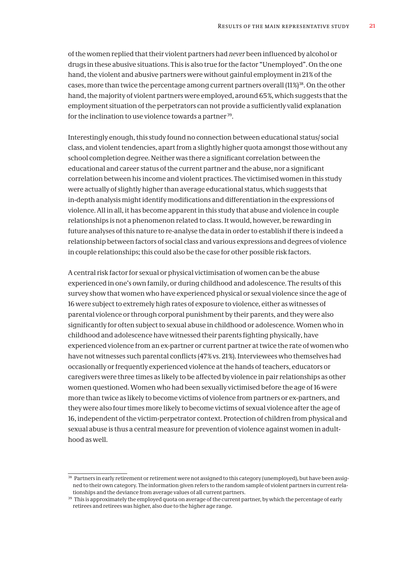of the women replied that their violent partners had *never* been influenced by alcohol or drugs in these abusive situations. This is also true for the factor "Unemployed". On the one hand, the violent and abusive partners were without gainful employment in 21% of the cases, more than twice the percentage among current partners overall  $(11\%)^{38}$ . On the other hand, the majority of violent partners were employed, around 65%, which suggests that the employment situation of the perpetrators can not provide a sufficiently valid explanation for the inclination to use violence towards a partner 39.

Interestingly enough, this study found no connection between educational status/ social class, and violent tendencies, apart from a slightly higher quota amongst those without any school completion degree. Neither was there a significant correlation between the educational and career status of the current partner and the abuse, nor a significant correlation between his income and violent practices. The victimised women in this study were actually of slightly higher than average educational status, which suggests that in-depth analysis might identify modifications and differentiation in the expressions of violence. All in all, it has become apparent in this study that abuse and violence in couple relationships is not a phenomenon related to class. It would, however, be rewarding in future analyses of this nature to re-analyse the data in order to establish if there is indeed a relationship between factors of social class and various expressions and degrees of violence in couple relationships; this could also be the case for other possible risk factors.

A central risk factor for sexual or physical victimisation of women can be the abuse experienced in one's own family, or during childhood and adolescence. The results of this survey show that women who have experienced physical or sexual violence since the age of 16 were subject to extremely high rates of exposure to violence, either as witnesses of parental violence or through corporal punishment by their parents, and they were also significantly for often subject to sexual abuse in childhood or adolescence. Women who in childhood and adolescence have witnessed their parents fighting physically, have experienced violence from an ex-partner or current partner at twice the rate of women who have not witnesses such parental conflicts (47% vs. 21%). Interviewees who themselves had occasionally or frequently experienced violence at the hands of teachers, educators or caregivers were three times as likely to be affected by violence in pair relationships as other women questioned. Women who had been sexually victimised before the age of 16 were more than twice as likely to become victims of violence from partners or ex-partners, and they were also four times more likely to become victims of sexual violence after the age of 16, independent of the victim-perpetrator context. Protection of children from physical and sexual abuse is thus a central measure for prevention of violence against women in adulthood as well.

<sup>38</sup> Partners in early retirement or retirement were not assigned to this category (unemployed), but have been assigned to their own category. The information given refers to the random sample of violent partners in current relationships and the deviance from average values of all current partners.

<sup>&</sup>lt;sup>39</sup> This is approximately the employed quota on average of the current partner, by which the percentage of early retirees and retirees was higher, also due to the higher age range.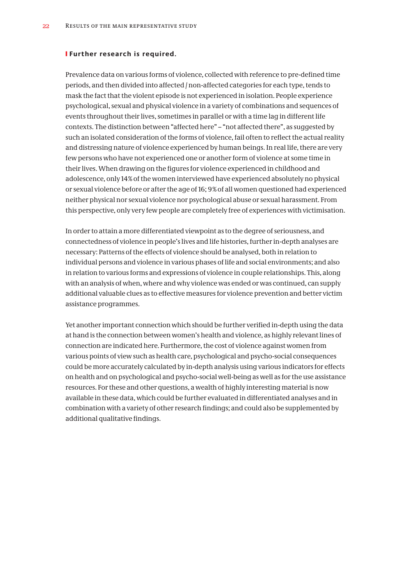#### **❙ Further research is required.**

Prevalence data on various forms of violence, collected with reference to pre-defined time periods, and then divided into affected / non-affected categories for each type, tends to mask the fact that the violent episode is not experienced in isolation. People experience psychological, sexual and physical violence in a variety of combinations and sequences of events throughout their lives, sometimes in parallel or with a time lag in different life contexts. The distinction between "affected here" – "not affected there", as suggested by such an isolated consideration of the forms of violence, fail often to reflect the actual reality and distressing nature of violence experienced by human beings. In real life, there are very few persons who have not experienced one or another form of violence at some time in their lives.When drawing on the figures for violence experienced in childhood and adolescence, only 14 % of the women interviewed have experienced absolutely no physical or sexual violence before or after the age of 16; 9 % of all women questioned had experienced neither physical nor sexual violence nor psychological abuse or sexual harassment. From this perspective, only very few people are completely free of experiences with victimisation.

In order to attain a more differentiated viewpoint as to the degree of seriousness, and connectedness of violence in people's lives and life histories, further in-depth analyses are necessary: Patterns of the effects of violence should be analysed, both in relation to individual persons and violence in various phases of life and social environments; and also in relation to various forms and expressions of violence in couple relationships. This, along with an analysis of when, where and why violence was ended or was continued, can supply additional valuable clues as to effective measures for violence prevention and better victim assistance programmes.

Yet another important connection which should be further verified in-depth using the data at hand is the connection between women's health and violence, as highly relevant lines of connection are indicated here. Furthermore, the cost of violence against women from various points of view such as health care, psychological and psycho-social consequences could be more accurately calculated by in-depth analysis using various indicators for effects on health and on psychological and psycho-social well-being as well as for the use assistance resources. For these and other questions, a wealth of highly interesting material is now available in these data, which could be further evaluated in differentiated analyses and in combination with a variety of other research findings; and could also be supplemented by additional qualitative findings.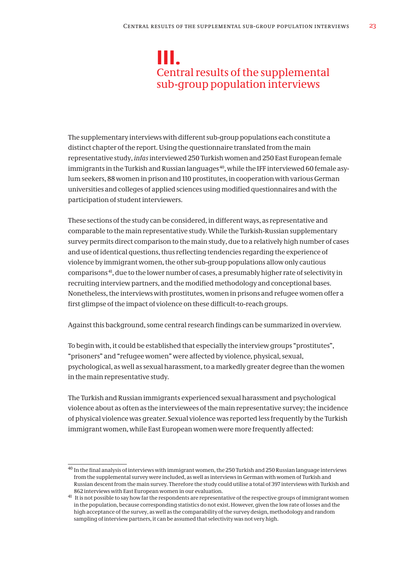# **III.** Central results of the supplemental sub-group population interviews

The supplementary interviews with different sub-group populations each constitute a distinct chapter of the report. Using the questionnaire translated from the main representative study, *infas*interviewed 250 Turkish women and 250 East European female immigrants in the Turkish and Russian languages $40$ , while the IFF interviewed 60 female asylum seekers, 88 women in prison and 110 prostitutes, in cooperation with various German universities and colleges of applied sciences using modified questionnaires and with the participation of student interviewers.

These sections of the study can be considered, in different ways, as representative and comparable to the main representative study. While the Turkish-Russian supplementary survey permits direct comparison to the main study, due to a relatively high number of cases and use of identical questions, thus reflecting tendencies regarding the experience of violence by immigrant women, the other sub-group populations allow only cautious comparisons 41, due to the lower number of cases, a presumably higher rate of selectivity in recruiting interview partners, and the modified methodology and conceptional bases. Nonetheless, the interviews with prostitutes, women in prisons and refugee women offer a first glimpse of the impact of violence on these difficult-to-reach groups.

Against this background, some central research findings can be summarized in overview.

To begin with, it could be established that especially the interview groups "prostitutes", "prisoners" and "refugee women" were affected by violence, physical, sexual, psychological, as well as sexual harassment, to a markedly greater degree than the women in the main representative study.

The Turkish and Russian immigrants experienced sexual harassment and psychological violence about as often as the interviewees of the main representative survey; the incidence of physical violence was greater. Sexual violence was reported less frequently by the Turkish immigrant women, while East European women were more frequently affected:

<sup>&</sup>lt;sup>40</sup> In the final analysis of interviews with immigrant women, the 250 Turkish and 250 Russian language interviews from the supplemental survey were included, as well as interviews in German with women of Turkish and Russian descent from the main survey. Therefore the study could utilise a total of 397 interviews with Turkish and

 $862$  interviews with East European women in our evaluation.  $^{41}\,$  It is not possible to say how far the respondents are representative of the respective groups of immigrant women  $^{41}\,$ in the population, because corresponding statistics do not exist. However, given the low rate of losses and the high acceptance of the survey, as well as the comparability of the survey design, methodology and random sampling of interview partners, it can be assumed that selectivity was not very high.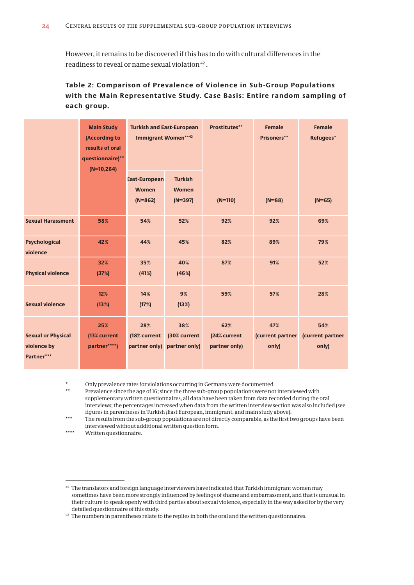However, it remains to be discovered if this has to do with cultural differences in the readiness to reveal or name sexual violation  $42$ .

# **Table 2: Comparison of Prevalence of Violence in Sub-Group Populations with the Main Representative Study. Case Basis: Entire random sampling of each group.**

|                                                        | <b>Main Study</b><br>(According to<br>results of oral<br>questionnaire)**<br>$(N=10,264)$ | <b>Turkish and East-European</b><br>Immigrant Women**43 |                                      | Prostitutes**                        | <b>Female</b><br>Prisoners**     | <b>Female</b><br>Refugees*       |
|--------------------------------------------------------|-------------------------------------------------------------------------------------------|---------------------------------------------------------|--------------------------------------|--------------------------------------|----------------------------------|----------------------------------|
|                                                        |                                                                                           | East-European<br><b>Women</b><br>$(N=862)$              | <b>Turkish</b><br>Women<br>$(N=397)$ | $(N=110)$                            | $(N=88)$                         | $(N=65)$                         |
| <b>Sexual Harassment</b>                               | 58%                                                                                       | 54%                                                     | 52%                                  | 92%                                  | 92%                              | 69%                              |
| Psychological<br>violence                              | 42%                                                                                       | 44%                                                     | 45%                                  | 82%                                  | 89%                              | 79%                              |
| <b>Physical violence</b>                               | 32%<br>(37%)                                                                              | 35%<br>(41%)                                            | 40%<br>(46%)                         | 87%                                  | 91%                              | 52%                              |
| <b>Sexual violence</b>                                 | 12%<br>(13%)                                                                              | 14%<br>(17%)                                            | 9%<br>(13%)                          | 59%                                  | 57%                              | 28%                              |
| <b>Sexual or Physical</b><br>violence by<br>Partner*** | 25%<br>(13% current<br>partner****)                                                       | 28%<br>(18% current<br>partner only)                    | 38%<br>(30% current<br>partner only) | 62%<br>(24% current<br>partner only) | 47%<br>(current partner<br>only) | 54%<br>(current partner<br>only) |

\* Only prevalence rates for violations occurring in Germany were documented.

Prevalence since the age of 16; since the three sub-group populations were not interviewed with supplementary written questionnaires, all data have been taken from data recorded during the oral interviews;the percentages increased when data from the written interview section was also included (see figures in parentheses in Turkish /East European, immigrant, and main study above).

\*\*\* The results from the sub-group populations are not directly comparable, as the first two groups have been interviewed without additional written question form.

\*\*\*\* Written questionnaire.

<sup>&</sup>lt;sup>42</sup> The translators and foreign language interviewers have indicated that Turkish immigrant women may sometimes have been more strongly influenced by feelings of shame and embarrassment, and that is unusual in their culture to speak openly with third parties about sexual violence, especially in the way asked for by the very detailed questionnaire of this study.

<sup>&</sup>lt;sup>43</sup> The numbers in parentheses relate to the replies in both the oral and the written questionnaires.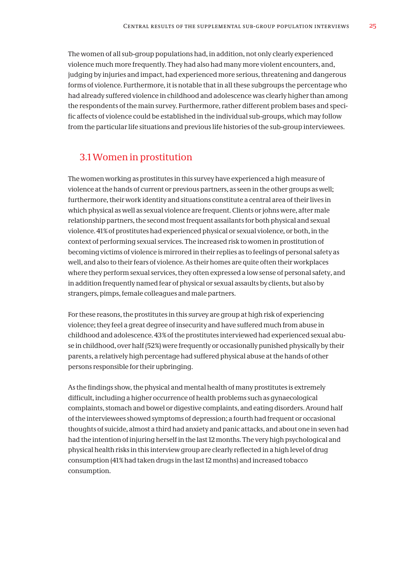The women of all sub-group populations had, in addition, not only clearly experienced violence much more frequently. They had also had many more violent encounters, and, judging by injuries and impact, had experienced more serious, threatening and dangerous forms of violence. Furthermore, it is notable that in all these subgroups the percentage who had already suffered violence in childhood and adolescence was clearly higher than among the respondents of the main survey. Furthermore, rather different problem bases and specific affects of violence could be established in the individual sub-groups, which may follow from the particular life situations and previous life histories of the sub-group interviewees.

# 3.1 Women in prostitution

The women working as prostitutes in this survey have experienced a high measure of violence at the hands of current or previous partners, as seen in the other groups as well; furthermore, their work identity and situations constitute a central area of their lives in which physical as well as sexual violence are frequent. Clients or johns were, after male relationship partners, the second most frequent assailants for both physical and sexual violence. 41 % of prostitutes had experienced physical or sexual violence, or both, in the context of performing sexual services. The increased risk to women in prostitution of becoming victims of violence is mirrored in their replies as to feelings of personal safety as well, and also to their fears of violence. As their homes are quite often their workplaces where they perform sexual services, they often expressed a low sense of personal safety, and in addition frequently named fear of physical or sexual assaults by clients, but also by strangers, pimps, female colleagues and male partners.

For these reasons, the prostitutes in this survey are group at high risk of experiencing violence; they feel a great degree of insecurity and have suffered much from abuse in childhood and adolescence. 43 % of the prostitutes interviewed had experienced sexual abuse in childhood, over half (52 %) were frequently or occasionally punished physically by their parents, a relatively high percentage had suffered physical abuse at the hands of other persons responsible for their upbringing.

As the findings show, the physical and mental health of many prostitutes is extremely difficult, including a higher occurrence of health problems such as gynaecological complaints, stomach and bowel or digestive complaints, and eating disorders. Around half of the interviewees showed symptoms of depression; a fourth had frequent or occasional thoughts of suicide, almost a third had anxiety and panic attacks, and about one in seven had had the intention of injuring herself in the last 12 months. The very high psychological and physical health risks in this interview group are clearly reflected in a high level of drug consumption (41 % had taken drugs in the last 12 months) and increased tobacco consumption.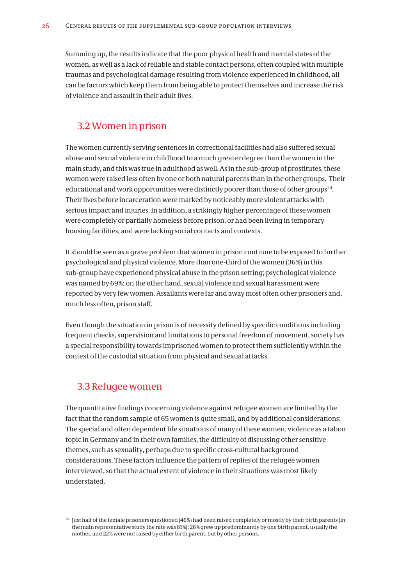Summing up, the results indicate that the poor physical health and mental states of the women, as well as a lack of reliable and stable contact persons, often coupled with multiple traumas and psychological damage resulting from violence experienced in childhood, all can be factors which keep them from being able to protect themselves and increase the risk of violence and assault in their adult lives.

# 3.2 Women in prison

The women currently serving sentences in correctional facilities had also suffered sexual abuse and sexual violence in childhood to a much greater degree than the women in the main study, and this was true in adulthood as well.As in the sub-group of prostitutes, these women were raised less often by one or both natural parents than in the other groups. Their educational and work opportunities were distinctly poorer than those of other groups<sup>44</sup>. Their lives before incarceration were marked by noticeably more violent attacks with serious impact and injuries. In addition, a strikingly higher percentage of these women were completely or partially homeless before prison, or had been living in temporary housing facilities, and were lacking social contacts and contexts.

It should be seen as a grave problem that women in prison continue to be exposed to further psychological and physical violence. More than one-third of the women (36 %) in this sub-group have experienced physical abuse in the prison setting; psychological violence was named by 69 %; on the other hand, sexual violence and sexual harassment were reported by very few women. Assailants were far and away most often other prisoners and, much less often, prison staff.

Even though the situation in prison is of necessity defined by specific conditions including frequent checks, supervision and limitations to personal freedom of movement, society has a special responsibility towards imprisoned women to protect them sufficiently within the context of the custodial situation from physical and sexual attacks.

# 3.3 Refugee women

The quantitative findings concerning violence against refugee women are limited by the fact that the random sample of 65 women is quite small, and by additional considerations: The special and often dependent life situations of many of these women, violence as a taboo topic in Germany and in their own families, the difficulty of discussing other sensitive themes, such as sexuality, perhaps due to specific cross-cultural background considerations. These factors influence the pattern of replies of the refugee women interviewed, so that the actual extent of violence in their situations was most likely understated.

<sup>&</sup>lt;sup>44</sup> Just half of the female prisoners questioned (46%) had been raised completely or mostly by their birth parents (in the main representative study the rate was 81%); 26% grew up predominantly by one birth parent, usually the mother, and 22 % were not raised by either birth parent, but by other persons.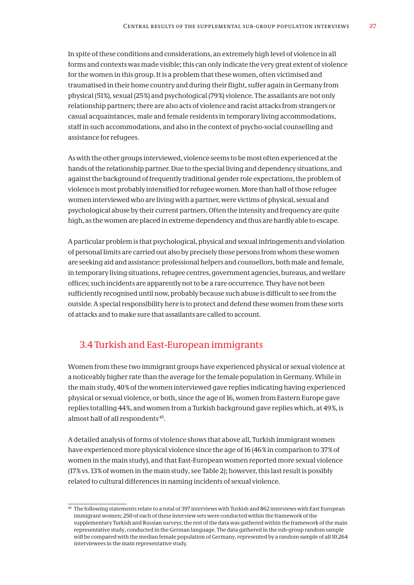In spite of these conditions and considerations, an extremely high level of violence in all forms and contexts was made visible; this can only indicate the very great extent of violence for the women in this group. It is a problem that these women, often victimised and traumatised in their home country and during their flight, suffer again in Germany from physical (51%), sexual (25%) and psychological (79%) violence. The assailants are not only relationship partners; there are also acts of violence and racist attacks from strangers or casual acquaintances, male and female residents in temporary living accommodations, staff in such accommodations, and also in the context of psycho-social counselling and assistance for refugees.

As with the other groups interviewed, violence seems to be most often experienced at the hands of the relationship partner. Due to the special living and dependency situations, and against the background of frequently traditional gender role expectations, the problem of violence is most probably intensified for refugee women. More than half of those refugee women interviewed who are living with a partner, were victims of physical, sexual and psychological abuse by their current partners. Often the intensity and frequency are quite high, as the women are placed in extreme dependency and thus are hardly able to escape.

Aparticular problem is that psychological, physical and sexual infringements and violation of personal limits are carried out also by precisely those persons from whom these women are seeking aid and assistance: professional helpers and counsellors, both male and female, in temporary living situations, refugee centres, government agencies, bureaus, and welfare offices; such incidents are apparently not to be a rare occurrence. They have not been sufficiently recognised until now, probably because such abuse is difficult to see from the outside. A special responsibility here is to protect and defend these women from these sorts of attacks and to make sure that assailants are called to account.

# 3.4 Turkish and East-European immigrants

Women from these two immigrant groups have experienced physical or sexual violence at a noticeably higher rate than the average for the female population in Germany. While in the main study, 40 % of the women interviewed gave replies indicating having experienced physical or sexual violence, or both, since the age of 16, women from Eastern Europe gave replies totalling 44 %, and women from a Turkish background gave replies which, at 49 %, is almost half of all respondents 45.

A detailed analysis of forms of violence shows that above all, Turkish immigrant women have experienced more physical violence since the age of 16 (46% in comparison to 37% of women in the main study), and that East-European women reported more sexual violence (17 % vs. 13 % of women in the main study, see Table 2); however, this last result is possibly related to cultural differences in naming incidents of sexual violence.

<sup>45</sup> The following statements relate to a total of 397 interviews with Turkish and 862 interviews with East European immigrant women; 250 of each of these interview sets were conducted within the framework of the supplementary Turkish and Russian surveys; the rest of the data was gathered within the framework of the main representative study, conducted in the German language. The data gathered in the sub-group random sample will be compared with the median female population of Germany, represented by a random sample of all 10,264 interviewees in the main representative study.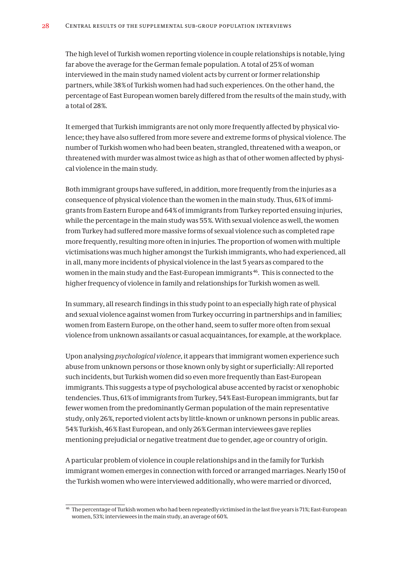The high level of Turkish women reporting violence in couple relationships is notable, lying far above the average for the German female population. A total of 25% of woman interviewed in the main study named violent acts by current or former relationship partners, while 38 % of Turkish women had had such experiences. On the other hand, the percentage of East European women barely differed from the results of the main study, with a total of 28 %.

It emerged that Turkish immigrants are not only more frequently affected by physical violence; they have also suffered from more severe and extreme forms of physical violence. The number of Turkish women who had been beaten, strangled, threatened with a weapon, or threatened with murder was almost twice as high as that of other women affected by physical violence in the main study.

Both immigrant groups have suffered, in addition, more frequently from the injuries as a consequence of physical violence than the women in the main study. Thus, 61% of immigrants from Eastern Europe and 64 % of immigrants from Turkey reported ensuing injuries, while the percentage in the main study was 55 %. With sexual violence as well, the women from Turkey had suffered more massive forms of sexual violence such as completed rape more frequently, resulting more often in injuries. The proportion of women with multiple victimisations was much higher amongst the Turkish immigrants, who had experienced, all in all, many more incidents of physical violence in the last 5 years as compared to the women in the main study and the East-European immigrants 46. This is connected to the higher frequency of violence in family and relationships for Turkish women as well.

In summary, all research findings in this study point to an especially high rate of physical and sexual violence against women from Turkey occurring in partnerships and in families; women from Eastern Europe, on the other hand, seem to suffer more often from sexual violence from unknown assailants or casual acquaintances, for example, at the workplace.

Upon analysing *psychological violence*, it appears that immigrant women experience such abuse from unknown persons or those known only by sight or superficially: All reported such incidents, but Turkish women did so even more frequently than East-European immigrants. This suggests a type of psychological abuse accented by racist or xenophobic tendencies. Thus, 61% of immigrants from Turkey, 54% East-European immigrants, but far fewer women from the predominantly German population of the main representative study, only 26 %, reported violent acts by little-known or unknown persons in public areas. 54 % Turkish, 46 % East European, and only 26 % German interviewees gave replies mentioning prejudicial or negative treatment due to gender, age or country of origin.

A particular problem of violence in couple relationships and in the family for Turkish immigrant women emerges in connection with forced or arranged marriages. Nearly 150 of the Turkish women who were interviewed additionally, who were married or divorced,

<sup>&</sup>lt;sup>46</sup> The percentage of Turkish women who had been repeatedly victimised in the last five years is 71%; East-European women, 53 %; interviewees in the main study, an average of 60 %.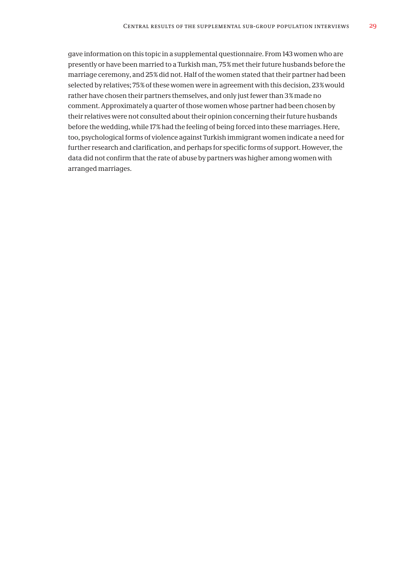gave information on this topic in a supplemental questionnaire. From 143 women who are presently or have been married to a Turkish man, 75 % met their future husbands before the marriage ceremony, and 25 % did not. Half of the women stated that their partner had been selected by relatives; 75 % of these women were in agreement with this decision, 23 % would rather have chosen their partners themselves, and only just fewer than 3 % made no comment. Approximately a quarter of those women whose partner had been chosen by their relatives were not consulted about their opinion concerning their future husbands before the wedding, while 17 % had the feeling of being forced into these marriages. Here, too, psychological forms of violence against Turkish immigrant women indicate a need for further research and clarification, and perhaps for specific forms of support. However, the data did not confirm that the rate of abuse by partners was higher among women with arranged marriages.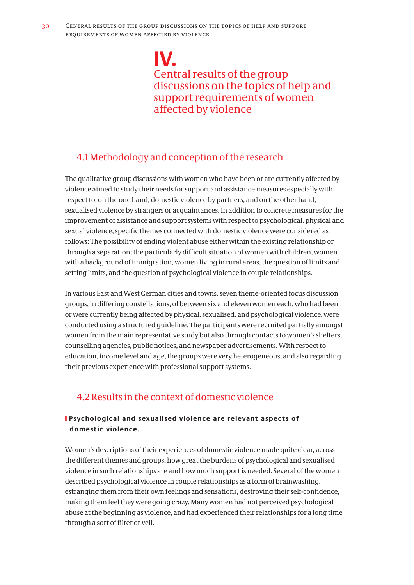**IV.** Central results of the group discussions on the topics of help and support requirements of women affected by violence

# 4.1 Methodology and conception of the research

The qualitative group discussions with women who have been or are currently affected by violence aimed to study their needs for support and assistance measures especially with respect to, on the one hand, domestic violence by partners, and on the other hand, sexualised violence by strangers or acquaintances. In addition to concrete measures for the improvement of assistance and support systems with respect to psychological, physical and sexual violence, specific themes connected with domestic violence were considered as follows: The possibility of ending violent abuse either within the existing relationship or through a separation; the particularly difficult situation of women with children, women with a background of immigration, women living in rural areas, the question of limits and setting limits, and the question of psychological violence in couple relationships.

In various East and West German cities and towns, seven theme-oriented focus discussion groups, in differing constellations, of between six and eleven women each, who had been or were currently being affected by physical, sexualised, and psychological violence, were conducted using a structured guideline. The participants were recruited partially amongst women from the main representative study but also through contacts to women's shelters, counselling agencies, public notices, and newspaper advertisements. With respect to education, income level and age, the groups were very heterogeneous, and also regarding their previous experience with professional support systems.

# 4.2 Results in the context of domestic violence

# **❙ Psychological and sexualised violence are relevant aspects of domestic violence.**

Women's descriptions of their experiences of domestic violence made quite clear, across the different themes and groups, how great the burdens of psychological and sexualised violence in such relationships are and how much support is needed. Several of the women described psychological violence in couple relationships as a form of brainwashing, estranging them from their own feelings and sensations, destroying their self-confidence, making them feel they were going crazy. Many women had not perceived psychological abuse at the beginning as violence, and had experienced their relationships for a long time through a sort of filter or veil.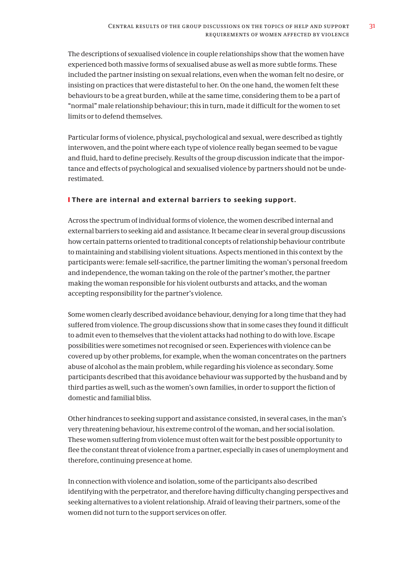31

The descriptions of sexualised violence in couple relationships show that the women have experienced both massive forms of sexualised abuse as well as more subtle forms. These included the partner insisting on sexual relations, even when the woman felt no desire, or insisting on practices that were distasteful to her. On the one hand, the women felt these behaviours to be a great burden, while at the same time, considering them to be a part of "normal" male relationship behaviour; this in turn, made it difficult for the women to set limits or to defend themselves.

Particular forms of violence, physical, psychological and sexual, were described as tightly interwoven, and the point where each type of violence really began seemed to be vague and fluid, hard to define precisely. Results of the group discussion indicate that the importance and effects of psychological and sexualised violence by partners should not be underestimated.

#### **❙ There are internal and external barriers to seeking support.**

Across the spectrum of individual forms of violence, the women described internal and external barriers to seeking aid and assistance. It became clear in several group discussions how certain patterns oriented to traditional concepts of relationship behaviour contribute to maintaining and stabilising violent situations. Aspects mentioned in this context by the participants were: female self-sacrifice, the partner limiting the woman's personal freedom and independence, the woman taking on the role of the partner's mother, the partner making the woman responsible for his violent outbursts and attacks, and the woman accepting responsibility for the partner's violence.

Some women clearly described avoidance behaviour, denying for a long time that they had suffered from violence. The group discussions show that in some cases they found it difficult to admit even to themselves that the violent attacks had nothing to do with love. Escape possibilities were sometimes not recognised or seen. Experiences with violence can be covered up by other problems, for example, when the woman concentrates on the partners abuse of alcohol as the main problem, while regarding his violence as secondary. Some participants described that this avoidance behaviour was supported by the husband and by third parties as well, such as the women's own families, in order to support the fiction of domestic and familial bliss.

Other hindrances to seeking support and assistance consisted, in several cases, in the man's very threatening behaviour, his extreme control of the woman, and her social isolation. These women suffering from violence must often wait for the best possible opportunity to flee the constant threat of violence from a partner, especially in cases of unemployment and therefore, continuing presence at home.

In connection with violence and isolation, some of the participants also described identifying with the perpetrator, and therefore having difficulty changing perspectives and seeking alternatives to a violent relationship. Afraid of leaving their partners, some of the women did not turn to the support services on offer.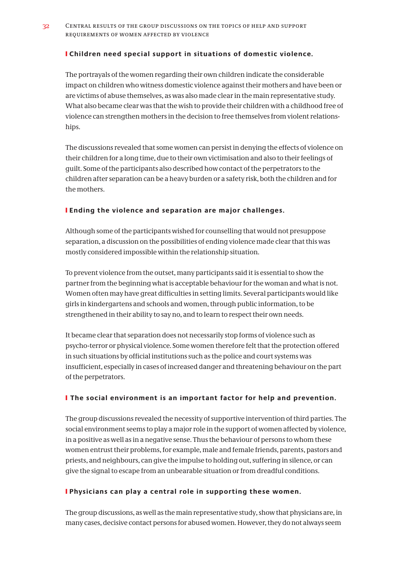32

#### **❙ Children need special support in situations of domestic violence.**

The portrayals of the women regarding their own children indicate the considerable impact on children who witness domestic violence against their mothers and have been or are victims of abuse themselves, as was also made clear in the main representative study. What also became clear was that the wish to provide their children with a childhood free of violence can strengthen mothers in the decision to free themselves from violent relationships.

The discussions revealed that some women can persist in denying the effects of violence on their children for a long time, due to their own victimisation and also to their feelings of guilt. Some of the participants also described how contact of the perpetrators to the children after separation can be a heavy burden or a safety risk, both the children and for the mothers.

#### **I** Ending the violence and separation are major challenges.

Although some of the participants wished for counselling that would not presuppose separation, a discussion on the possibilities of ending violence made clear that this was mostly considered impossible within the relationship situation.

To prevent violence from the outset, many participants said it is essential to show the partner from the beginning what is acceptable behaviour for the woman and what is not. Women often may have great difficulties in setting limits. Several participants would like girls in kindergartens and schools and women, through public information, to be strengthened in their ability to say no, and to learn to respect their own needs.

It became clear that separation does not necessarily stop forms of violence such as psycho-terror or physical violence. Some women therefore felt that the protection offered in such situations by official institutions such as the police and court systems was insufficient, especially in cases of increased danger and threatening behaviour on the part of the perpetrators.

#### **❙ The social environment is an important factor for help and prevention.**

The group discussions revealed the necessity of supportive intervention of third parties. The social environment seems to play a major role in the support of women affected by violence, in a positive as well as in a negative sense. Thus the behaviour of persons to whom these women entrust their problems, for example, male and female friends, parents, pastors and priests, and neighbours, can give the impulse to holding out, suffering in silence, or can give the signal to escape from an unbearable situation or from dreadful conditions.

#### *l* **Physicians can play a central role in supporting these women.**

The group discussions, as well as the main representative study, show that physicians are, in many cases, decisive contact persons for abused women. However, they do not always seem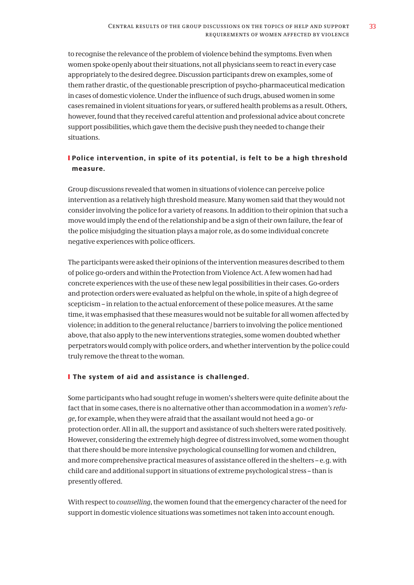to recognise the relevance of the problem of violence behind the symptoms. Even when women spoke openly about their situations, not all physicians seem to react in every case appropriately to the desired degree. Discussion participants drew on examples, some of them rather drastic, of the questionable prescription of psycho-pharmaceutical medication in cases of domestic violence. Under the influence of such drugs, abused women in some cases remained in violent situations for years, or suffered health problems as a result. Others, however, found that they received careful attention and professional advice about concrete support possibilities, which gave them the decisive push they needed to change their situations.

### **❙ Police intervention, in spite of its potential, is felt to be a high threshold measure.**

Group discussions revealed that women in situations of violence can perceive police intervention as a relatively high threshold measure. Many women said that they would not consider involving the police for a variety of reasons. In addition to their opinion that such a move would imply the end of the relationship and be a sign of their own failure, the fear of the police misjudging the situation plays a major role, as do some individual concrete negative experiences with police officers.

The participants were asked their opinions of the intervention measures described to them of police go-orders and within the Protection from Violence Act. A few women had had concrete experiences with the use of these new legal possibilities in their cases. Go-orders and protection orders were evaluated as helpful on the whole, in spite of a high degree of scepticism – in relation to the actual enforcement of these police measures. At the same time, it was emphasised that these measures would not be suitable for all women affected by violence; in addition to the general reluctance / barriers to involving the police mentioned above, that also apply to the new interventions strategies, some women doubted whether perpetrators would comply with police orders, and whether intervention by the police could truly remove the threat to the woman.

#### **I** The system of aid and assistance is challenged.

Some participants who had sought refuge in women's shelters were quite definite about the fact that in some cases, there is no alternative other than accommodation in a *women's refuge*, for example, when they were afraid that the assailant would not heed a go- or protection order. All in all, the support and assistance of such shelters were rated positively. However, considering the extremely high degree of distress involved, some women thought that there should be more intensive psychological counselling for women and children, and more comprehensive practical measures of assistance offered in the shelters – e. g. with child care and additional support in situations of extreme psychological stress – than is presently offered.

With respect to *counselling*, the women found that the emergency character of the need for support in domestic violence situations was sometimes not taken into account enough.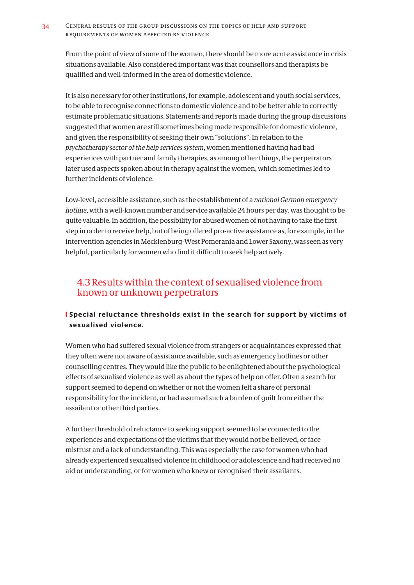34

From the point of view of some of the women, there should be more acute assistance in crisis situations available. Also considered important was that counsellors and therapists be qualified and well-informed in the area of domestic violence.

It is also necessary for other institutions, for example, adolescent and youth social services, to be able to recognise connections to domestic violence and to be better able to correctly estimate problematic situations. Statements and reports made during the group discussions suggested that women are still sometimes being made responsible for domestic violence, and given the responsibility of seeking their own "solutions". In relation to the *psychotherapy sector of the help services system*, women mentioned having had bad experiences with partner and family therapies, as among other things, the perpetrators later used aspects spoken about in therapy against the women, which sometimes led to further incidents of violence.

Low-level, accessible assistance, such as the establishment of a *national German emergency hotline*,with a well-known number and service available 24 hours per day, was thought to be quite valuable. In addition, the possibility for abused women of not having to take the first step in order to receive help, but of being offered pro-active assistance as, for example, in the intervention agencies in Mecklenburg-West Pomerania and Lower Saxony, was seen as very helpful, particularly for women who find it difficult to seek help actively.

# 4.3 Results within the context of sexualised violence from known or unknown perpetrators

# **❙ Special reluctance thresholds exist in the search for support by victims of sexualised violence.**

Women who had suffered sexual violence from strangers or acquaintances expressed that they often were not aware of assistance available, such as emergency hotlines or other counselling centres. They would like the public to be enlightened about the psychological effects of sexualised violence as well as about the types of help on offer. Often a search for support seemed to depend on whether or not the women felt a share of personal responsibility for the incident, or had assumed such a burden of guilt from either the assailant or other third parties.

A further threshold of reluctance to seeking support seemed to be connected to the experiences and expectations of the victims that they would not be believed, or face mistrust and a lack of understanding. This was especially the case for women who had already experienced sexualised violence in childhood or adolescence and had received no aid or understanding, or for women who knew or recognised their assailants.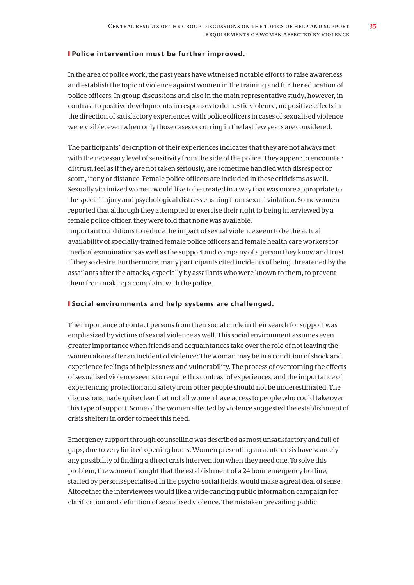#### **❙ Police intervention must be further improved.**

In the area of police work, the past years have witnessed notable efforts to raise awareness and establish the topic of violence against women in the training and further education of police officers. In group discussions and also in the main representative study, however, in contrast to positive developments in responses to domestic violence, no positive effects in the direction of satisfactory experiences with police officers in cases of sexualised violence were visible, even when only those cases occurring in the last few years are considered.

The participants' description of their experiences indicates that they are not always met with the necessary level of sensitivity from the side of the police. They appear to encounter distrust, feel as if they are not taken seriously, are sometime handled with disrespect or scorn, irony or distance. Female police officers are included in these criticisms as well. Sexually victimized women would like to be treated in a way that was more appropriate to the special injury and psychological distress ensuing from sexual violation. Some women reported that although they attempted to exercise their right to being interviewed by a female police officer, they were told that none was available.

Important conditions to reduce the impact of sexual violence seem to be the actual availability of specially-trained female police officers and female health care workers for medical examinations as well as the support and company of a person they know and trust if they so desire. Furthermore, many participants cited incidents of being threatened by the assailants after the attacks, especially by assailants who were known to them, to prevent them from making a complaint with the police.

#### **❙ Social environments and help systems are challenged.**

The importance of contact persons from their social circle in their search for support was emphasized by victims of sexual violence as well. This social environment assumes even greater importance when friends and acquaintances take over the role of not leaving the women alone after an incident of violence: The woman may be in a condition of shock and experience feelings of helplessness and vulnerability. The process of overcoming the effects of sexualised violence seems to require this contrast of experiences, and the importance of experiencing protection and safety from other people should not be underestimated. The discussions made quite clear that not all women have access to people who could take over this type of support. Some of the women affected by violence suggested the establishment of crisis shelters in order to meet this need.

Emergency support through counselling was described as most unsatisfactory and full of gaps, due to very limited opening hours. Women presenting an acute crisis have scarcely any possibility of finding a direct crisis intervention when they need one. To solve this problem, the women thought that the establishment of a 24 hour emergency hotline, staffed by persons specialised in the psycho-social fields, would make a great deal of sense. Altogether the interviewees would like a wide-ranging public information campaign for clarification and definition of sexualised violence. The mistaken prevailing public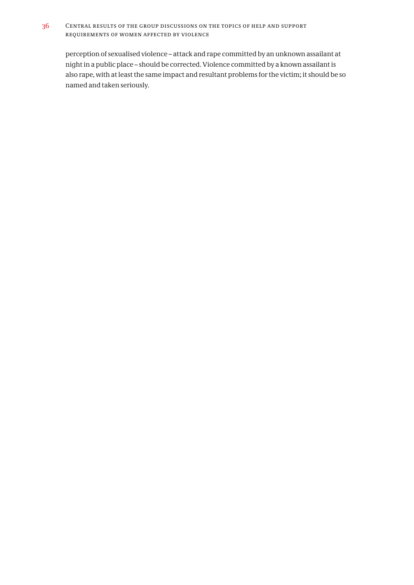perception of sexualised violence – attack and rape committed by an unknown assailant at night in a public place – should be corrected. Violence committed by a known assailant is also rape, with at least the same impact and resultant problems for the victim; it should be so named and taken seriously.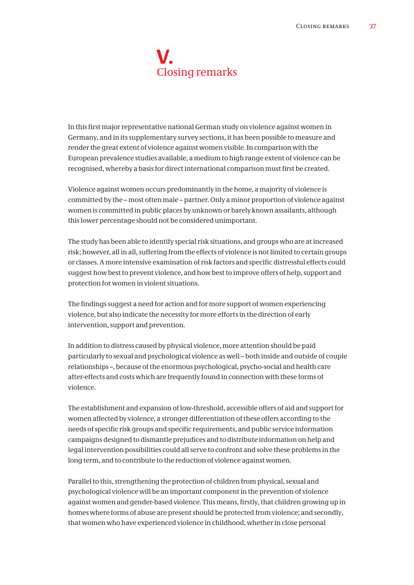

In this first major representative national German study on violence against women in Germany, and in its supplementary survey sections, it has been possible to measure and render the great extent of violence against women visible. In comparison with the European prevalence studies available, a medium to high range extent of violence can be recognised, whereby a basis for direct international comparison must first be created.

Violence against women occurs predominantly in the home, a majority of violence is committed by the – most often male – partner. Only a minor proportion of violence against women is committed in public places by unknown or barely known assailants, although this lower percentage should not be considered unimportant.

The study has been able to identify special risk situations, and groups who are at increased risk; however, all in all, suffering from the effects of violence is not limited to certain groups or classes. A more intensive examination of risk factors and specific distressful effects could suggest how best to prevent violence, and how best to improve offers of help, support and protection for women in violent situations.

The findings suggest a need for action and for more support of women experiencing violence, but also indicate the necessity for more efforts in the direction of early intervention, support and prevention.

In addition to distress caused by physical violence, more attention should be paid particularly to sexual and psychological violence as well – both inside and outside of couple relationships –, because of the enormous psychological, psycho-social and health care after-effects and costs which are frequently found in connection with these forms of violence.

The establishment and expansion of low-threshold, accessible offers of aid and support for women affected by violence, a stronger differentiation of these offers according to the needs of specific risk groups and specific requirements, and public service information campaigns designed to dismantle prejudices and to distribute information on help and legal intervention possibilities could all serve to confront and solve these problems in the long term, and to contribute to the reduction of violence against women.

Parallel to this, strengthening the protection of children from physical, sexual and psychological violence will be an important component in the prevention of violence against women and gender-based violence. This means, firstly, that children growing up in homes where forms of abuse are present should be protected from violence; and secondly, that women who have experienced violence in childhood, whether in close personal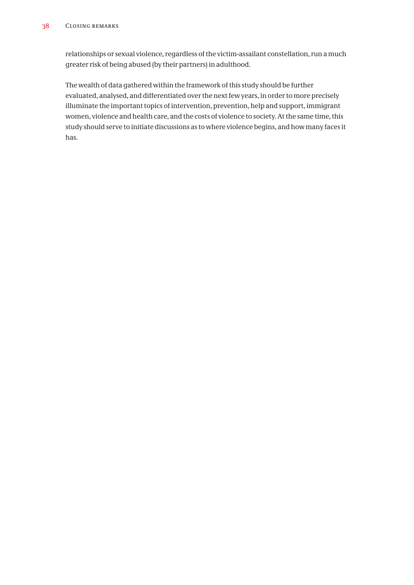relationships or sexual violence, regardless of the victim-assailant constellation, run a much greater risk of being abused (by their partners) in adulthood.

The wealth of data gathered within the framework of this study should be further evaluated, analysed, and differentiated over the next few years, in order to more precisely illuminate the important topics of intervention, prevention, help and support, immigrant women, violence and health care, and the costs of violence to society. At the same time, this study should serve to initiate discussions as to where violence begins, and how many faces it has.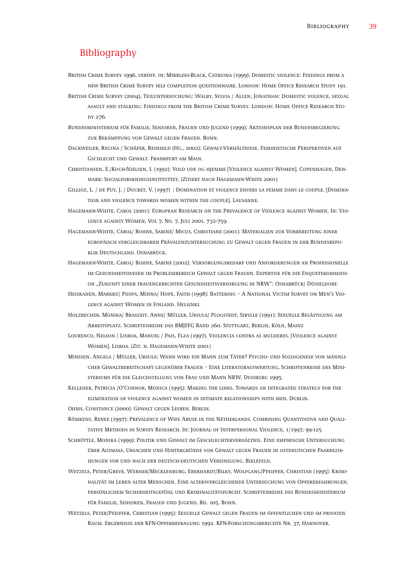# Bibliography

- British Crime Survey 1996, veröff. in: Mirrlees-Black, Catriona (1999): Domestic violence: Findings from a new British Crime Survey self completion questionnaire. London: Home Office Research Study 191.
- British Crime Survey (2004), Teiluntersuchung: Walby, Sylvia / Allen, Jonathan: Domestic volence, sexual asault and stalking: Findings from the British Crime Survey. London: Home Office Research Study 276.
- Bundesministerium für Familie, Senioren, Frauen und Jugend (1999): Aktionsplan der Bundesregierung zur Bekämpfung von Gewalt gegen Frauen. Bonn.
- Dackweiler, Regina / Schäfer, Reinhild (Hg., 2002): Gewalt-Verhältnisse. Feministische Perspektiven auf Gschlecht und Gewalt. Frankfurt am Main.
- Christiansen, E./Koch-Nielsen, I. (1992): Vold ude og hjemme [Violence against Women]. Copenhagen, Denmark: Socialforskningsinstituttet. (Zitiert nach Hagemann-White 2001)
- Gillioz, L. / de Puy, J. / Ducret, V. (1997) : Domination et violence envers la femme dans le couple. [Domination and violence towards women within the couple]. Lausanne.
- Hagemann-White, Carol (2001): European Research on the Prevalence of Violence against Women. In: Violence against Women, Vol 7, No. 7, Juli 2001, 732-759.
- Hagemann-White, Carol/ Bohne, Sabine/ Micus, Christiane (2001): Materialien zur Vorbereitung einer europäisch vergleichbaren Prävalenzuntersuchung zu Gewalt gegen Frauen in der Bundesrepublik Deutschland. Osnabrück.
- Hagemann-White, Carol/ Bohne, Sabine (2002): Versorgungsbedarf und Anforderungen an Professionelle im Gesundheitswesen im Problembereich Gewalt gegen Frauen. Expertise für die Enquetekommission "Zukunft einer frauengerechten Gesundheitsversorgung in NRW": Osnabrück/ Düsseldorf.
- Heiskanen, Markku/ Piispa, Minna/ Hope, Faith (1998): Battering A National Victim Survey on Men's Violence against Women in Finland. Helsinki.
- Holzbecher, Monika/ Braszeit, Anne/ Müller, Ursula/ Plogstedt, Sibylle (1991): Sexuelle Belästigung am Arbeitsplatz. Schriftenreihe des BMJFFG Band 260. Stuttgart, Berlin, Köln, Mainz
- Lourenco, Nelson / Lisboa, Manuel / Pais, Elza (1997). Violencia contra as mulheres. [Violence against Women]. Lisboa. (Zit. n. Hagemann-White 2001)
- Minssen, Angela / Müller, Ursula: Wann wird ein Mann zum Täter? Psycho- und Soziogenese von männlicher Gewaltbereitschaft gegenüber Frauen – Eine Literaturauswertung, Schriftenreihe des Ministeriums für die Gleichstellung von Frau und Mann NRW, Duisburg 1995.
- Kelleher, Patricia /O'Connor, Monica (1995): Making the links. Towards an integrated strategy for the elimination of violence against women in intimate relationships with men. Dublin.
- Ohms, Constance (2000): Gewalt gegen Lesben. Berlin.
- Römkens, Renee (1997): Prevalence of Wife Abuse in the Netherlands. Combining Quantitative and Qualitative Methods in Survey Research. In: Journal of Interpersonal Violence, 1/1997, 99-125
- SCHRÖTTLE, MONIKA (1999): POLITIK UND GEWALT IM GESCHLECHTERVERHÄLTNIS. EINE EMPIRISCHE UNTERSUCHUNG über Ausmaß, Ursachen und Hintergründe von Gewalt gegen Frauen in ostdeutschen Paarbeziehungen vor und nach der deutsch-deutschen Vereinigung. Bielefeld.
- Wetzels, Peter/Greve, Werner/Mecklenburg, Eberhardt/Bilky, Wolfgang/Pfeiffer, Christian (1995): Kriminalität im Leben alter Menschen. Eine altersvergleichende Untersuchung von Opfererfahrungen, persönlichem Sicherheitsgefühl und Kriminalitätsfurcht. Schriftenreihe des Bundesministerium für Familie, Senioren, Frauen und Jugend, Bd. 105. Bonn.
- Wetzels, Peter/Pfeiffer, Christian (1995): Sexuelle Gewalt gegen Frauen im öffentlichen und im privaten Raum. Ergebnisse der KFN-Opferbefragung 1992. KFN-Forschungsberichte Nr. 37, Hannover.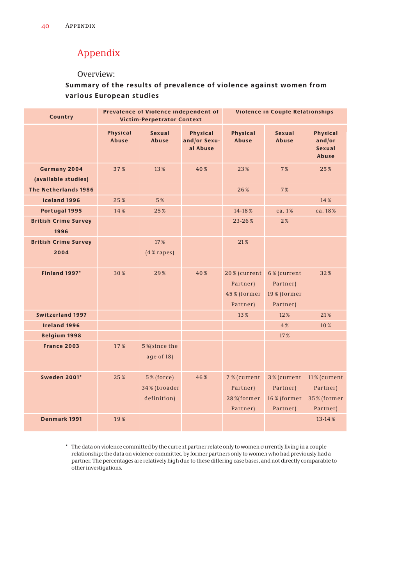# Appendix

#### Overview:

# **Summary of the results of prevalence of violence against women from various European studies**

| Country                             | Prevalence of Violence independent of<br><b>Victim-Perpetrator Context</b> |                                              |                                             | <b>Violence in Couple Relationships</b>              |                                                     |                                                            |  |
|-------------------------------------|----------------------------------------------------------------------------|----------------------------------------------|---------------------------------------------|------------------------------------------------------|-----------------------------------------------------|------------------------------------------------------------|--|
|                                     | <b>Physical</b><br>Abuse                                                   | <b>Sexual</b><br>Abuse                       | <b>Physical</b><br>and/or Sexu-<br>al Abuse | <b>Physical</b><br><b>Abuse</b>                      | <b>Sexual</b><br>Abuse                              | <b>Physical</b><br>and/or<br><b>Sexual</b><br><b>Abuse</b> |  |
| Germany 2004<br>(available studies) | 37%                                                                        | 13 %                                         | 40 %                                        | 23%                                                  | 7%                                                  | 25%                                                        |  |
| The Netherlands 1986                |                                                                            |                                              |                                             | 26%                                                  | 7%                                                  |                                                            |  |
| <b>Iceland 1996</b>                 | 25%                                                                        | 5%                                           |                                             |                                                      |                                                     | 14 %                                                       |  |
| Portugal 1995                       | 14%                                                                        | 25%                                          |                                             | 14-18%                                               | ca. $1\%$                                           | ca. 18%                                                    |  |
| <b>British Crime Survey</b><br>1996 |                                                                            |                                              |                                             | 23-26%                                               | 2%                                                  |                                                            |  |
| <b>British Crime Survey</b><br>2004 |                                                                            | 17%<br>$(4 %$ rapes)                         |                                             | 21%                                                  |                                                     |                                                            |  |
| Finland 1997*                       | 30%                                                                        | 29%                                          | 40%                                         | 20% (current<br>Partner)<br>45 % (former<br>Partner) | 6% (current<br>Partner)<br>19% (former<br>Partner)  | 32%                                                        |  |
| <b>Switzerland 1997</b>             |                                                                            |                                              |                                             | 13%                                                  | 12%                                                 | 21%                                                        |  |
| <b>Ireland 1996</b>                 |                                                                            |                                              |                                             |                                                      | 4%                                                  | 10 %                                                       |  |
| <b>Belgium 1998</b>                 |                                                                            |                                              |                                             |                                                      | 17%                                                 |                                                            |  |
| France 2003                         | 17%                                                                        | 5%(since the<br>age of 18)                   |                                             |                                                      |                                                     |                                                            |  |
| Sweden 2001*                        | 25%                                                                        | $5\%$ (force)<br>34% (broader<br>definition) | 46%                                         | 7 % (current<br>Partner)<br>28%(former<br>Partner)   | 3% (current<br>Partner)<br>16 % (former<br>Partner) | 11% (current<br>Partner)<br>35% (former<br>Partner)        |  |
| Denmark 1991                        | 19%                                                                        |                                              |                                             |                                                      |                                                     | 13-14 %                                                    |  |

\* The data on violence committed by the current partner relate only to women currently living in a couple relationship; the data on violence committed by former partners only to women who had previously had a partner. The percentages are relatively high due to these differing case bases, and not directly comparable to other investigations.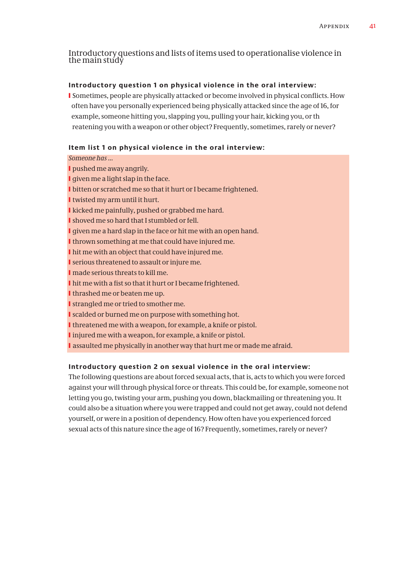Introductory questions and lists of items used to operationalise violence in the main study

#### **Introductory question 1 on physical violence in the oral interview:**

**❙** Sometimes, people are physically attacked or become involved in physical conflicts. How often have you personally experienced being physically attacked since the age of 16, for example, someone hitting you, slapping you, pulling your hair, kicking you, or th reatening you with a weapon or other object? Frequently, sometimes, rarely or never?

#### **Item list 1 on physical violence in the oral interview:**

*Someone has …*

- **❙** pushed me away angrily.
- **I** given me a light slap in the face.
- **I** bitten or scratched me so that it hurt or I became frightened.
- **❙** twisted my arm until it hurt.
- **I** kicked me painfully, pushed or grabbed me hard.
- **❙** shoved me so hard that I stumbled or fell.
- **I** given me a hard slap in the face or hit me with an open hand.
- **❙** thrown something at me that could have injured me.
- **I** hit me with an object that could have injured me.
- **I** serious threatened to assault or injure me.
- **❙** made serious threats to kill me.
- **I** hit me with a fist so that it hurt or I became frightened.
- **❙** thrashed me or beaten me up.
- **l** strangled me or tried to smother me.
- **❙** scalded or burned me on purpose with something hot.
- **❙** threatened me with a weapon, for example, a knife or pistol.
- **l** injured me with a weapon, for example, a knife or pistol.
- **l** assaulted me physically in another way that hurt me or made me afraid.

#### **Introductory question 2 on sexual violence in the oral interview:**

The following questions are about forced sexual acts, that is, acts to which you were forced against your will through physical force or threats. This could be, for example, someone not letting you go, twisting your arm, pushing you down, blackmailing or threatening you. It could also be a situation where you were trapped and could not get away, could not defend yourself, or were in a position of dependency. How often have you experienced forced sexual acts of this nature since the age of 16? Frequently, sometimes, rarely or never?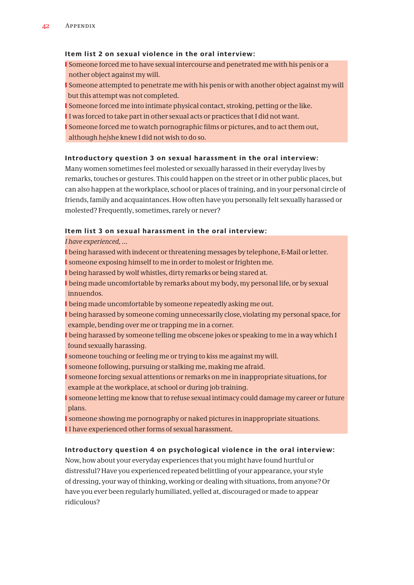#### **Item list 2 on sexual violence in the oral interview:**

**❙** Someone forced me to have sexual intercourse and penetrated me with his penis or a nother object against my will.

**❙** Someone attempted to penetrate me with his penis or with another object against my will but this attempt was not completed.

**I** Someone forced me into intimate physical contact, stroking, petting or the like.

**I** I was forced to take part in other sexual acts or practices that I did not want.

**❙** Someone forced me to watch pornographic films or pictures, and to act them out, although he/she knew I did not wish to do so.

#### **Introductory question 3 on sexual harassment in the oral interview:**

Many women sometimes feel molested or sexually harassed in their everyday lives by remarks, touches or gestures. This could happen on the street or in other public places, but can also happen at the workplace, school or places of training, and in your personal circle of friends, family and acquaintances. How often have you personally felt sexually harassed or molested? Frequently, sometimes, rarely or never?

#### **Item list 3 on sexual harassment in the oral interview:**

*I have experienced, ...*

**I** being harassed with indecent or threatening messages by telephone, E-Mail or letter. **I** someone exposing himself to me in order to molest or frighten me.

**I** being harassed by wolf whistles, dirty remarks or being stared at.

**I** being made uncomfortable by remarks about my body, my personal life, or by sexual innuendos.

**I** being made uncomfortable by someone repeatedly asking me out.

**❙** being harassed by someone coming unnecessarily close, violating my personal space, for example, bending over me or trapping me in a corner.

**I** being harassed by someone telling me obscene jokes or speaking to me in a way which I found sexually harassing.

**❙** someone touching or feeling me or trying to kiss me against my will.

**❙** someone following, pursuing or stalking me, making me afraid.

**I** someone forcing sexual attentions or remarks on me in inappropriate situations, for example at the workplace, at school or during job training.

**I** someone letting me know that to refuse sexual intimacy could damage my career or future plans.

**I** someone showing me pornography or naked pictures in inappropriate situations. **❙** I have experienced other forms of sexual harassment.

#### **Introductory question 4 on psychological violence in the oral interview:**

Now, how about your everyday experiences that you might have found hurtful or distressful? Have you experienced repeated belittling of your appearance, your style of dressing, your way of thinking, working or dealing with situations, from anyone? Or have you ever been regularly humiliated, yelled at, discouraged or made to appear ridiculous?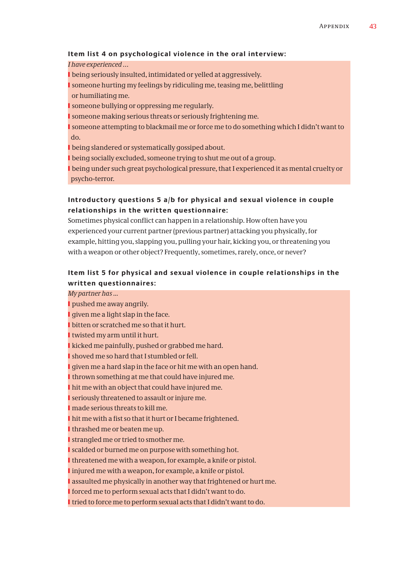#### **Item list 4 on psychological violence in the oral interview:**

*I have experienced ...*

**I** being seriously insulted, intimidated or yelled at aggressively.

**I** someone hurting my feelings by ridiculing me, teasing me, belittling or humiliating me.

**❙** someone bullying or oppressing me regularly.

**I** someone making serious threats or seriously frightening me.

**❙** someone attempting to blackmail me or force me to do something which I didn't want to do.

**I** being slandered or systematically gossiped about.

**I** being socially excluded, someone trying to shut me out of a group.

**I** being under such great psychological pressure, that I experienced it as mental cruelty or psycho-terror.

#### **Introductory questions 5 a/b for physical and sexual violence in couple relationships in the written questionnaire:**

Sometimes physical conflict can happen in a relationship. How often have you experienced your current partner (previous partner) attacking you physically, for example, hitting you, slapping you, pulling your hair, kicking you, or threatening you with a weapon or other object? Frequently, sometimes, rarely, once, or never?

#### **Item list 5 for physical and sexual violence in couple relationships in the written questionnaires:**

*My partner has …*

**❙** pushed me away angrily.

**I** given me a light slap in the face.

**I** bitten or scratched me so that it hurt.

**❙** twisted my arm until it hurt.

**I** kicked me painfully, pushed or grabbed me hard.

**I** shoved me so hard that I stumbled or fell.

**I** given me a hard slap in the face or hit me with an open hand.

**I** thrown something at me that could have injured me.

**I** hit me with an object that could have injured me.

**I** seriously threatened to assault or injure me.

**❙** made serious threats to kill me.

**I** hit me with a fist so that it hurt or I became frightened.

**I** thrashed me or beaten me up.

**I** strangled me or tried to smother me.

**❙** scalded or burned me on purpose with something hot.

**❙** threatened me with a weapon, for example, a knife or pistol.

**l** injured me with a weapon, for example, a knife or pistol.

**l** assaulted me physically in another way that frightened or hurt me.

**❙** forced me to perform sexual acts that I didn't want to do.

**I** tried to force me to perform sexual acts that I didn't want to do.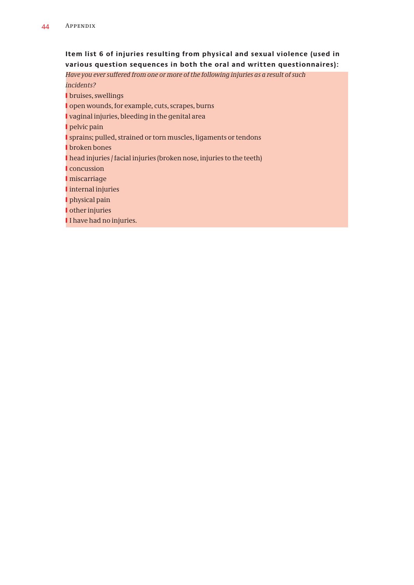# **Item list 6 of injuries resulting from physical and sexual violence (used in various question sequences in both the oral and written questionnaires):**

*Have you ever suffered from one or more of the following injuries as a result of such incidents?* **l** bruises, swellings **l** open wounds, for example, cuts, scrapes, burns **I** vaginal injuries, bleeding in the genital area **❙** pelvic pain **I** sprains; pulled, strained or torn muscles, ligaments or tendons **l** broken bones **l** head injuries / facial injuries (broken nose, injuries to the teeth) **❙** concussion **❙** miscarriage **l** internal injuries **❙** physical pain **l** other injuries **I** I have had no injuries.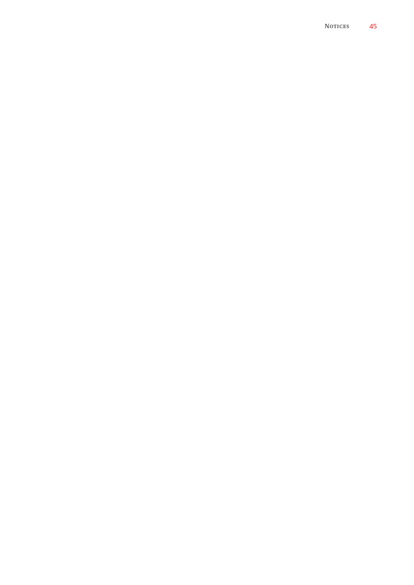NOTICES 45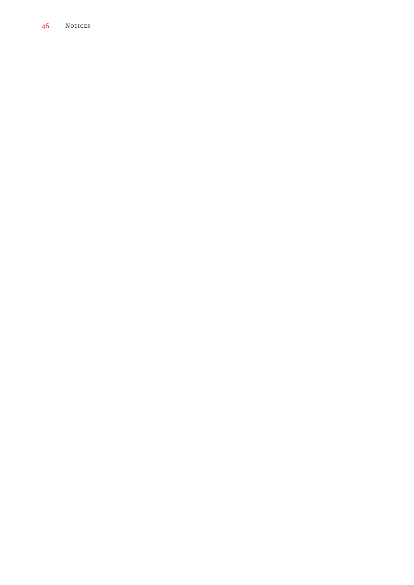#### 46 NOTICES